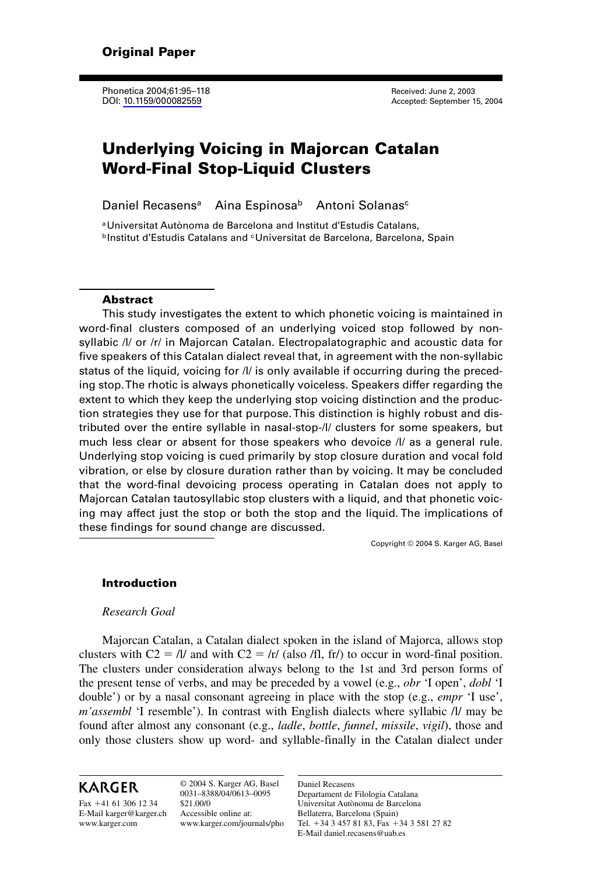Phonetica 2004;61:95–118 Received: June 2, 2003

Accepted: September 15, 2004

# **Underlying Voicing in Majorcan Catalan Word-Final Stop-Liquid Clusters**

Daniel Recasens<sup>a</sup> Aina Espinosa<sup>b</sup> Antoni Solanas<sup>c</sup>

aUniversitat Autònoma de Barcelona and Institut d'Estudis Catalans, **bInstitut d'Estudis Catalans and <sup>c</sup>Universitat de Barcelona, Barcelona, Spain** 

#### **Abstract**

This study investigates the extent to which phonetic voicing is maintained in word-final clusters composed of an underlying voiced stop followed by nonsyllabic /l/ or /r/ in Majorcan Catalan. Electropalatographic and acoustic data for five speakers of this Catalan dialect reveal that, in agreement with the non-syllabic status of the liquid, voicing for /l/ is only available if occurring during the preceding stop. The rhotic is always phonetically voiceless. Speakers differ regarding the extent to which they keep the underlying stop voicing distinction and the production strategies they use for that purpose. This distinction is highly robust and distributed over the entire syllable in nasal-stop-/l/ clusters for some speakers, but much less clear or absent for those speakers who devoice /l/ as a general rule. Underlying stop voicing is cued primarily by stop closure duration and vocal fold vibration, or else by closure duration rather than by voicing. It may be concluded that the word-final devoicing process operating in Catalan does not apply to Majorcan Catalan tautosyllabic stop clusters with a liquid, and that phonetic voicing may affect just the stop or both the stop and the liquid. The implications of these findings for sound change are discussed.

Copyright © 2004 S. Karger AG, Basel

# **Introduction**

#### *Research Goal*

Majorcan Catalan, a Catalan dialect spoken in the island of Majorca, allows stop clusters with  $C2 = \frac{1}{4}$  and with  $C2 = \frac{r}{4}$  (also  $\frac{f}{f}$ ), fr/ to occur in word-final position. The clusters under consideration always belong to the 1st and 3rd person forms of the present tense of verbs, and may be preceded by a vowel (e.g., *obr* 'I open', *dobl* 'I double') or by a nasal consonant agreeing in place with the stop (e.g., *empr* 'I use', *m'assembl* 'I resemble'). In contrast with English dialects where syllabic /l/ may be found after almost any consonant (e.g., *ladle*, *bottle*, *funnel*, *missile*, *vigil*), those and only those clusters show up word- and syllable-finally in the Catalan dialect under

# **KARGER**

Fax 41 61 306 12 34 E-Mail karger@karger.ch www.karger.com

© 2004 S. Karger AG, Basel 0031–8388/04/0613–0095 \$21.00/0 Accessible online at: www.karger.com/journals/pho

Daniel Recasens Departament de Filologia Catalana Universitat Autònoma de Barcelona Bellaterra, Barcelona (Spain) Tel.  $+34\overline{)3}$  457 81 83, Fax  $+34\overline{)3}$  581 27 82 E-Mail daniel.recasens@uab.es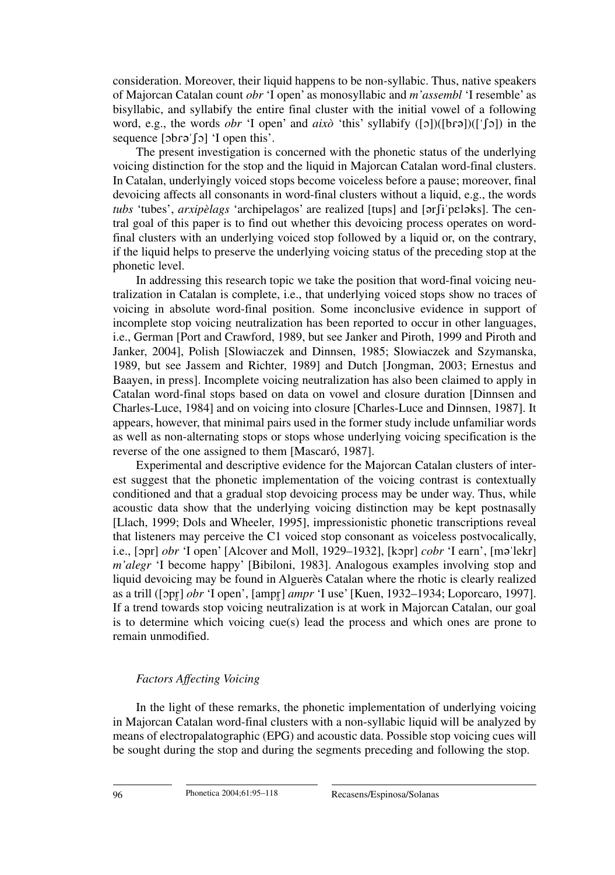consideration. Moreover, their liquid happens to be non-syllabic. Thus, native speakers of Majorcan Catalan count *obr* 'I open' as monosyllabic and *m'assembl* 'I resemble' as bisyllabic, and syllabify the entire final cluster with the initial vowel of a following bisyllabic, and syllabity the entire final cluster with the initial vowel of a following<br>word, e.g., the words *obr* 'I open' and *això* 'this' syllabify ([ɔ])([brə])(['ʃɔ]) in the word, e.g., the words *obr* '1 ope<br>sequence [ɔbɾə'ʃɔ] 'I open this'.

The present investigation is concerned with the phonetic status of the underlying voicing distinction for the stop and the liquid in Majorcan Catalan word-final clusters. In Catalan, underlyingly voiced stops become voiceless before a pause; moreover, final devoicing affects all consonants in word-final clusters without a liquid, e.g., the words *tubs* 'tubes', *arxipèlags* 'archipelagos' are realized [tups] and [ərʃi pεləks]. The central goal of this paper is to find out whether this devoicing process operates on wordfinal clusters with an underlying voiced stop followed by a liquid or, on the contrary, if the liquid helps to preserve the underlying voicing status of the preceding stop at the phonetic level.

In addressing this research topic we take the position that word-final voicing neutralization in Catalan is complete, i.e., that underlying voiced stops show no traces of voicing in absolute word-final position. Some inconclusive evidence in support of incomplete stop voicing neutralization has been reported to occur in other languages, i.e., German [Port and Crawford, 1989, but see Janker and Piroth, 1999 and Piroth and Janker, 2004], Polish [Slowiaczek and Dinnsen, 1985; Slowiaczek and Szymanska, 1989, but see Jassem and Richter, 1989] and Dutch [Jongman, 2003; Ernestus and Baayen, in press]. Incomplete voicing neutralization has also been claimed to apply in Catalan word-final stops based on data on vowel and closure duration [Dinnsen and Charles-Luce, 1984] and on voicing into closure [Charles-Luce and Dinnsen, 1987]. It appears, however, that minimal pairs used in the former study include unfamiliar words as well as non-alternating stops or stops whose underlying voicing specification is the reverse of the one assigned to them [Mascaró, 1987].

Experimental and descriptive evidence for the Majorcan Catalan clusters of interest suggest that the phonetic implementation of the voicing contrast is contextually conditioned and that a gradual stop devoicing process may be under way. Thus, while acoustic data show that the underlying voicing distinction may be kept postnasally [Llach, 1999; Dols and Wheeler, 1995], impressionistic phonetic transcriptions reveal that listeners may perceive the C1 voiced stop consonant as voiceless postvocalically, i.e., [ɔpr] *obr* 'I open' [Alcover and Moll, 1929–1932], [kɔpr] *cobr* 'I earn', [mə lekr] *m'alegr* 'I become happy' [Bibiloni, 1983]. Analogous examples involving stop and liquid devoicing may be found in Alguerès Catalan where the rhotic is clearly realized as a trill ([ɔpr] *obr* 'I open', [ampr] *ampr* 'I use' [Kuen, 1932–1934; Loporcaro, 1997]. If a trend towards stop voicing neutralization is at work in Majorcan Catalan, our goal is to determine which voicing cue(s) lead the process and which ones are prone to remain unmodified.

# *Factors Affecting Voicing*

In the light of these remarks, the phonetic implementation of underlying voicing in Majorcan Catalan word-final clusters with a non-syllabic liquid will be analyzed by means of electropalatographic (EPG) and acoustic data. Possible stop voicing cues will be sought during the stop and during the segments preceding and following the stop.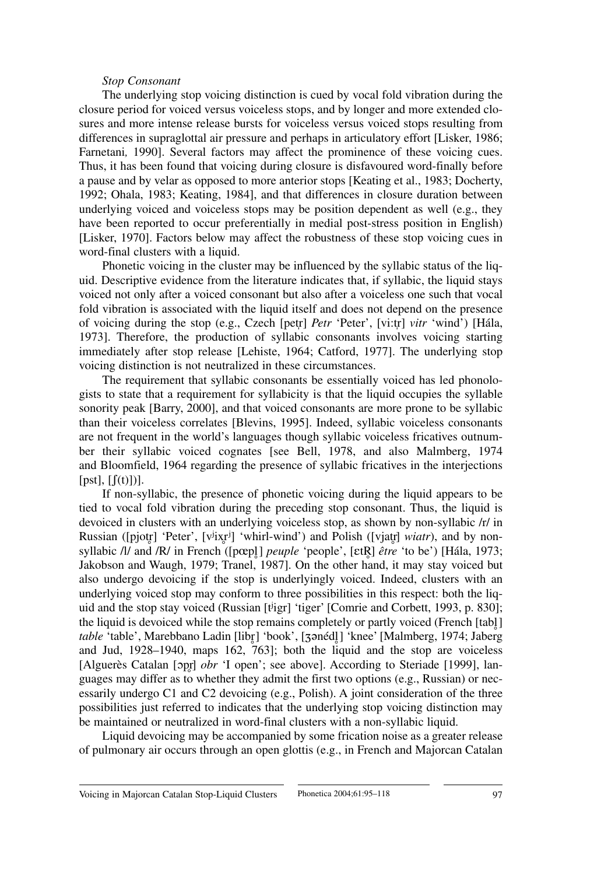#### *Stop Consonant*

The underlying stop voicing distinction is cued by vocal fold vibration during the closure period for voiced versus voiceless stops, and by longer and more extended closures and more intense release bursts for voiceless versus voiced stops resulting from differences in supraglottal air pressure and perhaps in articulatory effort [Lisker, 1986; Farnetani*,* 1990]. Several factors may affect the prominence of these voicing cues. Thus, it has been found that voicing during closure is disfavoured word-finally before a pause and by velar as opposed to more anterior stops [Keating et al., 1983; Docherty, 1992; Ohala, 1983; Keating, 1984], and that differences in closure duration between underlying voiced and voiceless stops may be position dependent as well (e.g., they have been reported to occur preferentially in medial post-stress position in English) [Lisker, 1970]. Factors below may affect the robustness of these stop voicing cues in word-final clusters with a liquid.

Phonetic voicing in the cluster may be influenced by the syllabic status of the liquid. Descriptive evidence from the literature indicates that, if syllabic, the liquid stays voiced not only after a voiced consonant but also after a voiceless one such that vocal fold vibration is associated with the liquid itself and does not depend on the presence of voicing during the stop (e.g., Czech [petr] *Petr* 'Peter', [vi:tr] *vitr* 'wind') [Hála, 1973]. Therefore, the production of syllabic consonants involves voicing starting immediately after stop release [Lehiste, 1964; Catford, 1977]. The underlying stop voicing distinction is not neutralized in these circumstances.

The requirement that syllabic consonants be essentially voiced has led phonologists to state that a requirement for syllabicity is that the liquid occupies the syllable sonority peak [Barry, 2000], and that voiced consonants are more prone to be syllabic than their voiceless correlates [Blevins, 1995]. Indeed, syllabic voiceless consonants are not frequent in the world's languages though syllabic voiceless fricatives outnumber their syllabic voiced cognates [see Bell, 1978, and also Malmberg, 1974 and Bloomfield, 1964 regarding the presence of syllabic fricatives in the interjections  $[pst], [f(t)]$ ].

If non-syllabic, the presence of phonetic voicing during the liquid appears to be tied to vocal fold vibration during the preceding stop consonant. Thus, the liquid is devoiced in clusters with an underlying voiceless stop, as shown by non-syllabic /r/ in Russian ([pjotr] 'Peter', [v<sup>j</sup>ixr<sup>i]</sup> 'whirl-wind') and Polish ([vjatr] *wiatr*), and by nonsyllabic /l/ and /R/ in French ([pœp]] *peuple* 'people', [εtR]  $\hat{e}$ *tre* 'to be') [Hála, 1973; Jakobson and Waugh, 1979; Tranel, 1987]. On the other hand, it may stay voiced but also undergo devoicing if the stop is underlyingly voiced. Indeed, clusters with an underlying voiced stop may conform to three possibilities in this respect: both the liquid and the stop stay voiced (Russian [t<sup>j</sup>igr] 'tiger' [Comrie and Corbett, 1993, p. 830]; the liquid is devoiced while the stop remains completely or partly voiced (French [tabl] table 'table', Marebbano Ladin [libr̪] 'book', [ʒənédl̪] 'knee' [Malmberg, 1974; Jaberg and Jud, 1928–1940, maps 162, 763]; both the liquid and the stop are voiceless [Alguerès Catalan [ɔpr] *obr* 'I open'; see above]. According to Steriade [1999], languages may differ as to whether they admit the first two options (e.g., Russian) or necessarily undergo C1 and C2 devoicing (e.g., Polish). A joint consideration of the three possibilities just referred to indicates that the underlying stop voicing distinction may be maintained or neutralized in word-final clusters with a non-syllabic liquid.

Liquid devoicing may be accompanied by some frication noise as a greater release of pulmonary air occurs through an open glottis (e.g., in French and Majorcan Catalan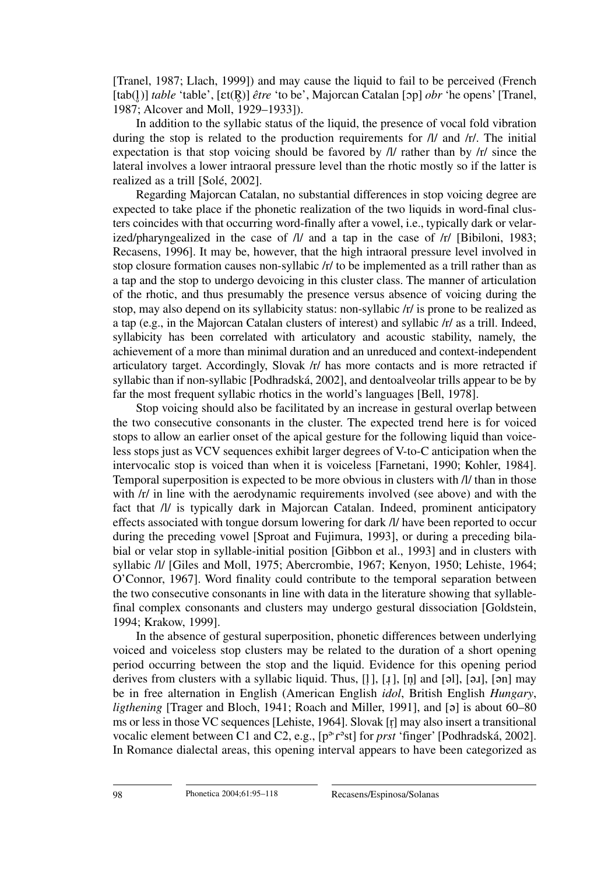[Tranel, 1987; Llach, 1999]) and may cause the liquid to fail to be perceived (French [tab(l)] *table* 'table', [εt(R)] *être* 'to be', Majorcan Catalan [ɔp] *obr* 'he opens' [Tranel, 1987; Alcover and Moll, 1929–1933]).

In addition to the syllabic status of the liquid, the presence of vocal fold vibration during the stop is related to the production requirements for /l/ and /r/. The initial expectation is that stop voicing should be favored by /l/ rather than by /r/ since the lateral involves a lower intraoral pressure level than the rhotic mostly so if the latter is realized as a trill [Solé, 2002].

Regarding Majorcan Catalan, no substantial differences in stop voicing degree are expected to take place if the phonetic realization of the two liquids in word-final clusters coincides with that occurring word-finally after a vowel, i.e., typically dark or velarized/pharyngealized in the case of  $\Lambda$ / and a tap in the case of  $\Lambda$ / [Bibiloni, 1983; Recasens, 1996]. It may be, however, that the high intraoral pressure level involved in stop closure formation causes non-syllabic /r/ to be implemented as a trill rather than as a tap and the stop to undergo devoicing in this cluster class. The manner of articulation of the rhotic, and thus presumably the presence versus absence of voicing during the stop, may also depend on its syllabicity status: non-syllabic /r/ is prone to be realized as a tap (e.g., in the Majorcan Catalan clusters of interest) and syllabic /r/ as a trill. Indeed, syllabicity has been correlated with articulatory and acoustic stability, namely, the achievement of a more than minimal duration and an unreduced and context-independent articulatory target. Accordingly, Slovak /r/ has more contacts and is more retracted if syllabic than if non-syllabic [Podhradská, 2002], and dentoalveolar trills appear to be by far the most frequent syllabic rhotics in the world's languages [Bell, 1978].

Stop voicing should also be facilitated by an increase in gestural overlap between the two consecutive consonants in the cluster. The expected trend here is for voiced stops to allow an earlier onset of the apical gesture for the following liquid than voiceless stops just as VCV sequences exhibit larger degrees of V-to-C anticipation when the intervocalic stop is voiced than when it is voiceless [Farnetani, 1990; Kohler, 1984]. Temporal superposition is expected to be more obvious in clusters with /l/ than in those with /r/ in line with the aerodynamic requirements involved (see above) and with the fact that /l/ is typically dark in Majorcan Catalan. Indeed, prominent anticipatory effects associated with tongue dorsum lowering for dark /l/ have been reported to occur during the preceding vowel [Sproat and Fujimura, 1993], or during a preceding bilabial or velar stop in syllable-initial position [Gibbon et al., 1993] and in clusters with syllabic /l/ [Giles and Moll, 1975; Abercrombie, 1967; Kenyon, 1950; Lehiste, 1964; O'Connor, 1967]. Word finality could contribute to the temporal separation between the two consecutive consonants in line with data in the literature showing that syllablefinal complex consonants and clusters may undergo gestural dissociation [Goldstein, 1994; Krakow, 1999].

In the absence of gestural superposition, phonetic differences between underlying voiced and voiceless stop clusters may be related to the duration of a short opening period occurring between the stop and the liquid. Evidence for this opening period derives from clusters with a syllabic liquid. Thus,  $[1]$ ,  $[1]$ ,  $[n]$  and  $[9]$ ,  $[9]$ ,  $[9]$  may be in free alternation in English (American English *idol*, British English *Hungary*, *ligthening* [Trager and Bloch, 1941; Roach and Miller, 1991], and [ə] is about 60–80 ms or less in those VC sequences [Lehiste, 1964]. Slovak [r] may also insert a transitional vocalic element between C1 and C2, e.g., [p<sup>a</sup>r<sup>a</sup>st] for *prst* 'finger' [Podhradská, 2002]. In Romance dialectal areas, this opening interval appears to have been categorized as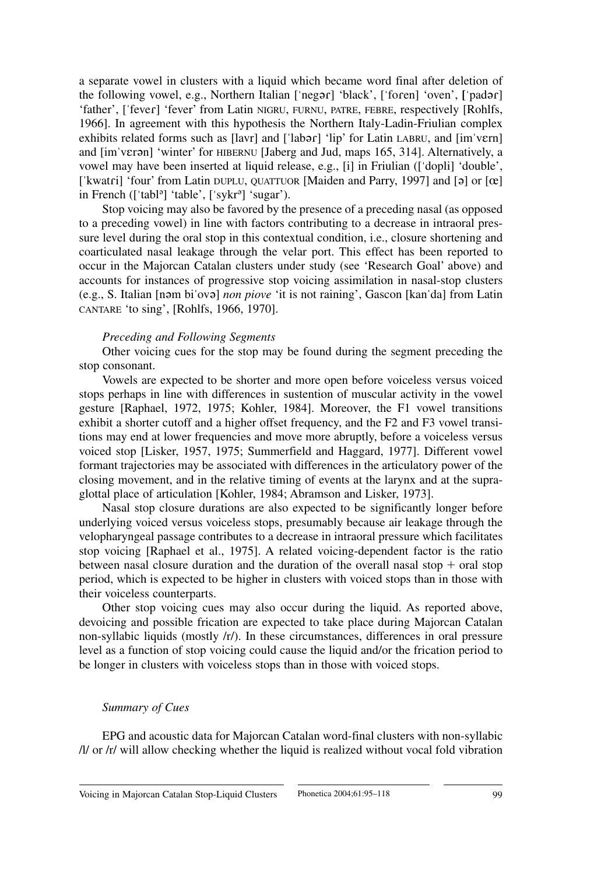a separate vowel in clusters with a liquid which became word final after deletion of a separate vowel in clusters with a liquid which became word final after deletion of<br>the following vowel, e.g., Northern Italian ['negər] 'black', ['foren] 'oven', ['padər] the following vowel, e.g., Northern Italian ['negər] 'black', ['foren] 'oven', ['padər]<br>'father', ['fever] 'fever' from Latin NIGRU, FURNU, PATRE, FEBRE, respectively [Rohlfs, 1966]. In agreement with this hypothesis the Northern Italy-Ladin-Friulian complex 1966]. In agreement with this hypothesis the Northern Italy-Ladin-Friulian complex<br>exhibits related forms such as [lavr] and ['labər] 'lip' for Latin LABRU, and [im'vɛrn] exhibits related forms such as [lavr] and ['labər] 'lip' for Latin LABRU, and [im'vɛrn]<br>and [im'vɛrən] 'winter' for HIBERNU [Jaberg and Jud, maps 165, 314]. Alternatively, a and [im vɛrən] 'winter' for HIBERNU [Jaberg and Jud, maps 165, 314]. Alternatively, a<br>vowel may have been inserted at liquid release, e.g., [i] in Friulian (['dopli] 'double', ['kwatri] 'four' from Latin DUPLU, QUATTUOR [Maiden and Parry, 1997] and [ə] or [œ] [ˈkwatɾɪ] 'tour′ from Latın DUPLU, QUATTUC<br>in French ([ˈtablª] 'table', [ˈsykrª] 'sugar').

Stop voicing may also be favored by the presence of a preceding nasal (as opposed to a preceding vowel) in line with factors contributing to a decrease in intraoral pressure level during the oral stop in this contextual condition, i.e., closure shortening and coarticulated nasal leakage through the velar port. This effect has been reported to occur in the Majorcan Catalan clusters under study (see 'Research Goal' above) and accounts for instances of progressive stop voicing assimilation in nasal-stop clusters accounts for instances of progressive stop voicing assimilation in nasal-stop clusters<br>(e.g., S. Italian [nəm bi'ovə] *non piove* 'it is not raining', Gascon [kan'da] from Latin CANTARE 'to sing', [Rohlfs, 1966, 1970].

#### *Preceding and Following Segments*

Other voicing cues for the stop may be found during the segment preceding the stop consonant.

Vowels are expected to be shorter and more open before voiceless versus voiced stops perhaps in line with differences in sustention of muscular activity in the vowel gesture [Raphael, 1972, 1975; Kohler, 1984]. Moreover, the F1 vowel transitions exhibit a shorter cutoff and a higher offset frequency, and the F2 and F3 vowel transitions may end at lower frequencies and move more abruptly, before a voiceless versus voiced stop [Lisker, 1957, 1975; Summerfield and Haggard, 1977]. Different vowel formant trajectories may be associated with differences in the articulatory power of the closing movement, and in the relative timing of events at the larynx and at the supraglottal place of articulation [Kohler, 1984; Abramson and Lisker, 1973].

Nasal stop closure durations are also expected to be significantly longer before underlying voiced versus voiceless stops, presumably because air leakage through the velopharyngeal passage contributes to a decrease in intraoral pressure which facilitates stop voicing [Raphael et al., 1975]. A related voicing-dependent factor is the ratio between nasal closure duration and the duration of the overall nasal stop  $+$  oral stop period, which is expected to be higher in clusters with voiced stops than in those with their voiceless counterparts.

Other stop voicing cues may also occur during the liquid. As reported above, devoicing and possible frication are expected to take place during Majorcan Catalan non-syllabic liquids (mostly /r/). In these circumstances, differences in oral pressure level as a function of stop voicing could cause the liquid and/or the frication period to be longer in clusters with voiceless stops than in those with voiced stops.

# *Summary of Cues*

EPG and acoustic data for Majorcan Catalan word-final clusters with non-syllabic /l/ or /r/ will allow checking whether the liquid is realized without vocal fold vibration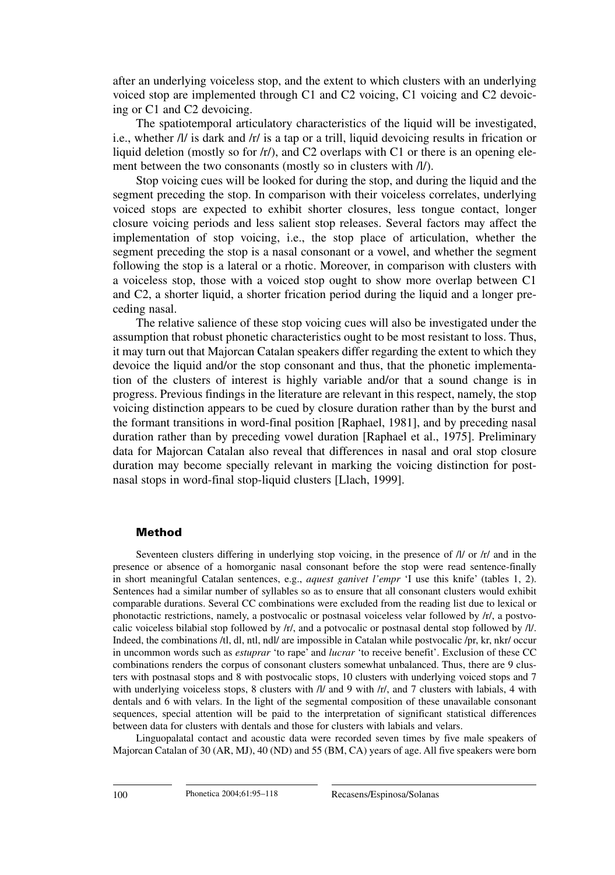after an underlying voiceless stop, and the extent to which clusters with an underlying voiced stop are implemented through C1 and C2 voicing, C1 voicing and C2 devoicing or C1 and C2 devoicing.

The spatiotemporal articulatory characteristics of the liquid will be investigated, i.e., whether /l/ is dark and /r/ is a tap or a trill, liquid devoicing results in frication or liquid deletion (mostly so for /r/), and C2 overlaps with C1 or there is an opening element between the two consonants (mostly so in clusters with /l/).

Stop voicing cues will be looked for during the stop, and during the liquid and the segment preceding the stop. In comparison with their voiceless correlates, underlying voiced stops are expected to exhibit shorter closures, less tongue contact, longer closure voicing periods and less salient stop releases. Several factors may affect the implementation of stop voicing, i.e., the stop place of articulation, whether the segment preceding the stop is a nasal consonant or a vowel, and whether the segment following the stop is a lateral or a rhotic. Moreover, in comparison with clusters with a voiceless stop, those with a voiced stop ought to show more overlap between C1 and C2, a shorter liquid, a shorter frication period during the liquid and a longer preceding nasal.

The relative salience of these stop voicing cues will also be investigated under the assumption that robust phonetic characteristics ought to be most resistant to loss. Thus, it may turn out that Majorcan Catalan speakers differ regarding the extent to which they devoice the liquid and/or the stop consonant and thus, that the phonetic implementation of the clusters of interest is highly variable and/or that a sound change is in progress. Previous findings in the literature are relevant in this respect, namely, the stop voicing distinction appears to be cued by closure duration rather than by the burst and the formant transitions in word-final position [Raphael, 1981], and by preceding nasal duration rather than by preceding vowel duration [Raphael et al., 1975]. Preliminary data for Majorcan Catalan also reveal that differences in nasal and oral stop closure duration may become specially relevant in marking the voicing distinction for postnasal stops in word-final stop-liquid clusters [Llach, 1999].

#### **Method**

Seventeen clusters differing in underlying stop voicing, in the presence of  $/$ l/ or  $/$ r/ and in the presence or absence of a homorganic nasal consonant before the stop were read sentence-finally in short meaningful Catalan sentences, e.g., *aquest ganivet l'empr* 'I use this knife' (tables 1, 2). Sentences had a similar number of syllables so as to ensure that all consonant clusters would exhibit comparable durations. Several CC combinations were excluded from the reading list due to lexical or phonotactic restrictions, namely, a postvocalic or postnasal voiceless velar followed by /r/, a postvocalic voiceless bilabial stop followed by /r/, and a potvocalic or postnasal dental stop followed by /l/. Indeed, the combinations /tl, dl, ntl, ndl/ are impossible in Catalan while postvocalic /pr, kr, nkr/ occur in uncommon words such as *estuprar* 'to rape' and *lucrar* 'to receive benefit'. Exclusion of these CC combinations renders the corpus of consonant clusters somewhat unbalanced. Thus, there are 9 clusters with postnasal stops and 8 with postvocalic stops, 10 clusters with underlying voiced stops and 7 with underlying voiceless stops, 8 clusters with  $\frac{1}{l}$  and 9 with  $\frac{1}{l}$ , and 7 clusters with labials, 4 with dentals and 6 with velars. In the light of the segmental composition of these unavailable consonant sequences, special attention will be paid to the interpretation of significant statistical differences between data for clusters with dentals and those for clusters with labials and velars.

Linguopalatal contact and acoustic data were recorded seven times by five male speakers of Majorcan Catalan of 30 (AR, MJ), 40 (ND) and 55 (BM, CA) years of age. All five speakers were born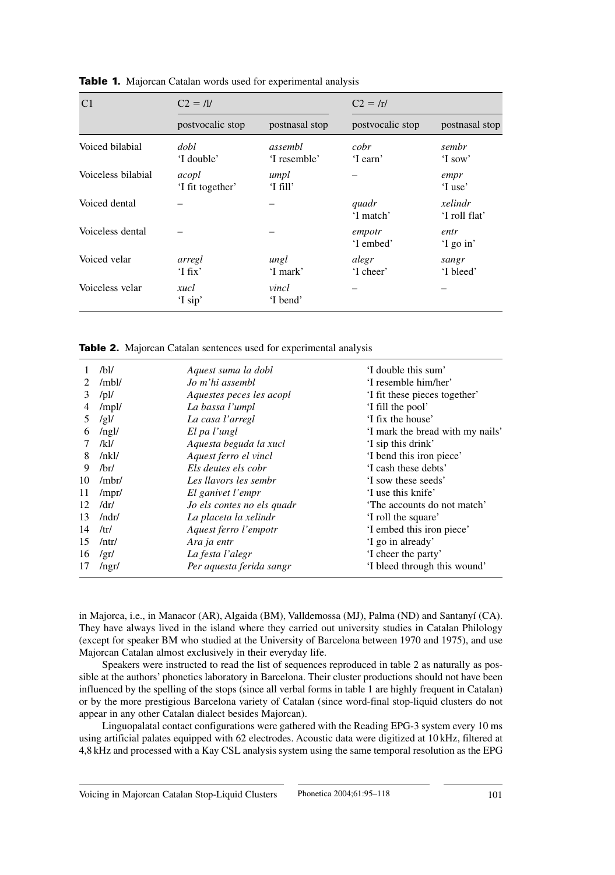| C <sub>1</sub>     | $C2 = 11$                 |                         | $C2 = h1$           |                                    |  |  |
|--------------------|---------------------------|-------------------------|---------------------|------------------------------------|--|--|
|                    | postvocalic stop          | postnasal stop          | postvocalic stop    | postnasal stop<br>sembr<br>'I sow' |  |  |
| Voiced bilabial    | dobl<br>'I double'        | assembl<br>'I resemble' | cobr<br>'I earn'    |                                    |  |  |
| Voiceless bilabial | acopl<br>'I fit together' | umpl<br>'I fill'        |                     | empr<br>'I use'                    |  |  |
| Voiced dental      |                           |                         | quadr<br>'I match'  | xelindr<br>'I roll flat'           |  |  |
| Voiceless dental   |                           |                         | empotr<br>'I embed' | entr<br>'I go in'                  |  |  |
| Voiced velar       | arregl<br>'I fix'         | ungl<br>'I mark'        | alegr<br>'I cheer'  | sangr<br>'I bleed'                 |  |  |
| Voiceless velar    | xucl<br>$\gamma$ sip'     | vincl<br>'I bend'       |                     |                                    |  |  |

**Table 1.** Majorcan Catalan words used for experimental analysis

**Table 2.** Majorcan Catalan sentences used for experimental analysis

|    | /b1/          | Aquest suma la dobl        | 'I double this sum'              |
|----|---------------|----------------------------|----------------------------------|
| 2  | /mbl/         | Jo m'hi assembl            | 'I resemble him/her'             |
| 3  | $\frac{1}{2}$ | Aquestes peces les acopl   | If it these pieces together'     |
| 4  | /mpl/         | La bassa l'umpl            | 'I fill the pool'                |
| 5. | $\frac{1}{2}$ | La casa l'arregl           | 'I fix the house'                |
| 6  | $\ln 1 $      | El pa l'ungl               | 'I mark the bread with my nails' |
|    | /kl/          | Aquesta beguda la xucl     | 'I sip this drink'               |
| 8  | /hkl/         | Aquest ferro el vincl      | 'I bend this iron piece'         |
| 9  | /br/          | Els deutes els cobr        | 'I cash these debts'             |
| 10 | /mbr/         | Les llavors les sembr      | 'I sow these seeds'              |
| 11 | /mpr/         | El ganivet l'empr          | 'I use this knife'               |
| 12 | /dr/          | Jo els contes no els quadr | The accounts do not match'       |
| 13 | /ndr/         | La placeta la xelindr      | 'I roll the square'              |
| 14 | /tr/          | Aquest ferro l'empotr      | 'I embed this iron piece'        |
| 15 | $/$ ntr $/$   | Ara ja entr                | 'I go in already'                |
| 16 | /gr/          | La festa l'alegr           | 'I cheer the party'              |
| 17 | /ngr/         | Per aquesta ferida sangr   | 'I bleed through this wound'     |

in Majorca, i.e., in Manacor (AR), Algaida (BM), Valldemossa (MJ), Palma (ND) and Santanyí (CA). They have always lived in the island where they carried out university studies in Catalan Philology (except for speaker BM who studied at the University of Barcelona between 1970 and 1975), and use Majorcan Catalan almost exclusively in their everyday life.

Speakers were instructed to read the list of sequences reproduced in table 2 as naturally as possible at the authors' phonetics laboratory in Barcelona. Their cluster productions should not have been influenced by the spelling of the stops (since all verbal forms in table 1 are highly frequent in Catalan) or by the more prestigious Barcelona variety of Catalan (since word-final stop-liquid clusters do not appear in any other Catalan dialect besides Majorcan).

Linguopalatal contact configurations were gathered with the Reading EPG-3 system every 10 ms using artificial palates equipped with 62 electrodes. Acoustic data were digitized at 10 kHz, filtered at 4,8 kHz and processed with a Kay CSL analysis system using the same temporal resolution as the EPG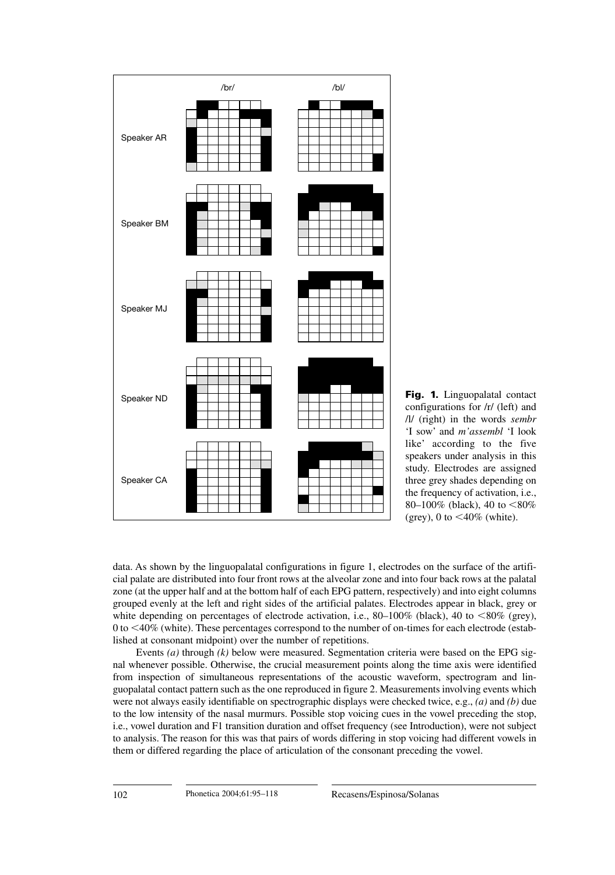

**Fig. 1.** Linguopalatal contact configurations for /r/ (left) and /l/ (right) in the words *sembr* 'I sow' and *m'assembl* 'I look like' according to the five speakers under analysis in this study. Electrodes are assigned three grey shades depending on the frequency of activation, i.e., 80–100% (black), 40 to  $<80\%$ (grey), 0 to  $\leq 40\%$  (white).

data. As shown by the linguopalatal configurations in figure 1, electrodes on the surface of the artificial palate are distributed into four front rows at the alveolar zone and into four back rows at the palatal zone (at the upper half and at the bottom half of each EPG pattern, respectively) and into eight columns grouped evenly at the left and right sides of the artificial palates. Electrodes appear in black, grey or white depending on percentages of electrode activation, i.e.,  $80-100\%$  (black),  $40$  to  $\leq 80\%$  (grey), 0 to 40% (white). These percentages correspond to the number of on-times for each electrode (established at consonant midpoint) over the number of repetitions.

Events *(a)* through *(k)* below were measured. Segmentation criteria were based on the EPG signal whenever possible. Otherwise, the crucial measurement points along the time axis were identified from inspection of simultaneous representations of the acoustic waveform, spectrogram and linguopalatal contact pattern such as the one reproduced in figure 2. Measurements involving events which were not always easily identifiable on spectrographic displays were checked twice, e.g., *(a)* and *(b)* due to the low intensity of the nasal murmurs. Possible stop voicing cues in the vowel preceding the stop, i.e., vowel duration and F1 transition duration and offset frequency (see Introduction), were not subject to analysis. The reason for this was that pairs of words differing in stop voicing had different vowels in them or differed regarding the place of articulation of the consonant preceding the vowel.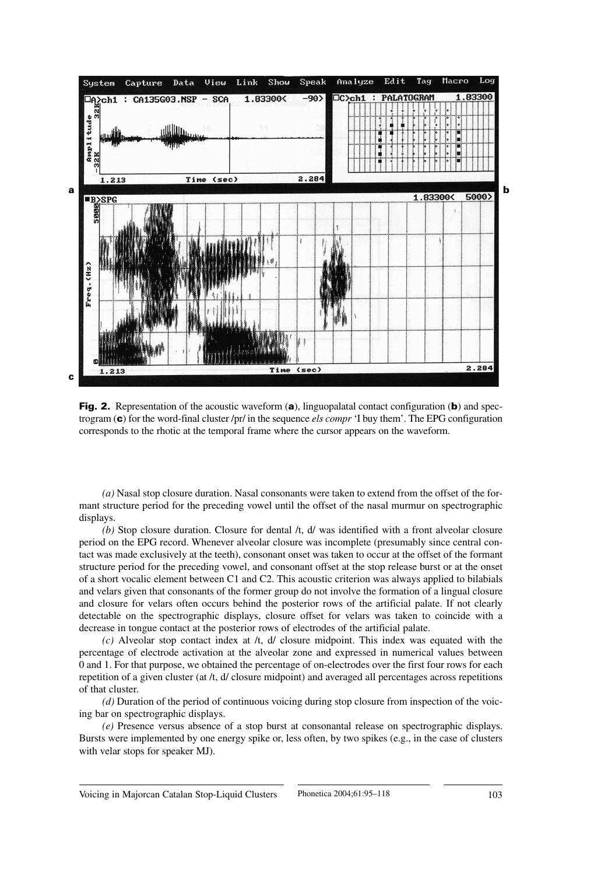

**Fig. 2.** Representation of the acoustic waveform (**a**), linguopalatal contact configuration (**b**) and spectrogram (**c**) for the word-final cluster /pr/ in the sequence *els compr* 'I buy them'. The EPG configuration corresponds to the rhotic at the temporal frame where the cursor appears on the waveform.

*(a)* Nasal stop closure duration. Nasal consonants were taken to extend from the offset of the formant structure period for the preceding vowel until the offset of the nasal murmur on spectrographic displays.

*(b)* Stop closure duration. Closure for dental /t, d/ was identified with a front alveolar closure period on the EPG record. Whenever alveolar closure was incomplete (presumably since central contact was made exclusively at the teeth), consonant onset was taken to occur at the offset of the formant structure period for the preceding vowel, and consonant offset at the stop release burst or at the onset of a short vocalic element between C1 and C2. This acoustic criterion was always applied to bilabials and velars given that consonants of the former group do not involve the formation of a lingual closure and closure for velars often occurs behind the posterior rows of the artificial palate. If not clearly detectable on the spectrographic displays, closure offset for velars was taken to coincide with a decrease in tongue contact at the posterior rows of electrodes of the artificial palate.

*(c)* Alveolar stop contact index at /t, d/ closure midpoint. This index was equated with the percentage of electrode activation at the alveolar zone and expressed in numerical values between 0 and 1. For that purpose, we obtained the percentage of on-electrodes over the first four rows for each repetition of a given cluster (at /t, d/ closure midpoint) and averaged all percentages across repetitions of that cluster.

*(d)* Duration of the period of continuous voicing during stop closure from inspection of the voicing bar on spectrographic displays.

*(e)* Presence versus absence of a stop burst at consonantal release on spectrographic displays. Bursts were implemented by one energy spike or, less often, by two spikes (e.g., in the case of clusters with velar stops for speaker MJ).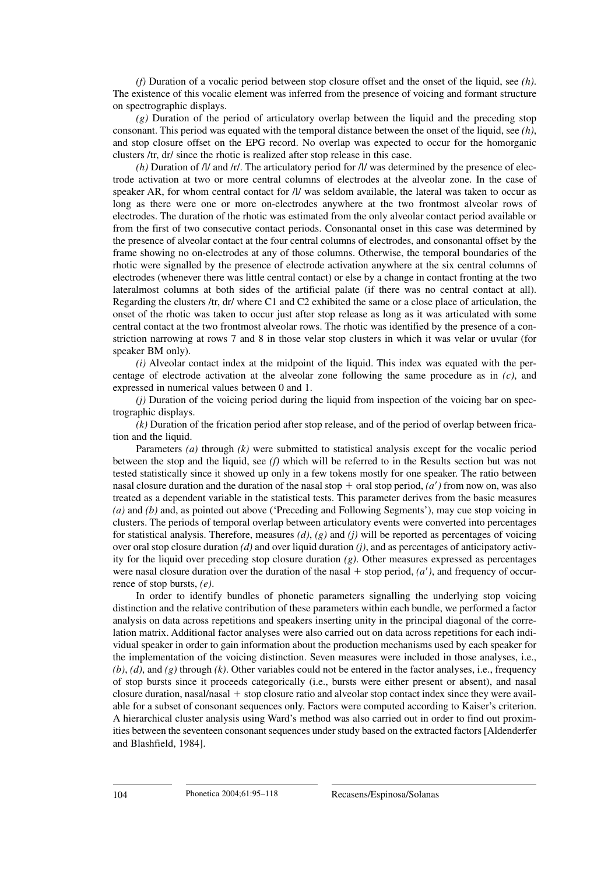*(f)* Duration of a vocalic period between stop closure offset and the onset of the liquid, see *(h)*. The existence of this vocalic element was inferred from the presence of voicing and formant structure on spectrographic displays.

*(g)* Duration of the period of articulatory overlap between the liquid and the preceding stop consonant. This period was equated with the temporal distance between the onset of the liquid, see *(h)*, and stop closure offset on the EPG record. No overlap was expected to occur for the homorganic clusters /tr, dr/ since the rhotic is realized after stop release in this case.

*(h)* Duration of  $\Lambda$ / and /r/. The articulatory period for  $\Lambda$ / was determined by the presence of electrode activation at two or more central columns of electrodes at the alveolar zone. In the case of speaker AR, for whom central contact for /l/ was seldom available, the lateral was taken to occur as long as there were one or more on-electrodes anywhere at the two frontmost alveolar rows of electrodes. The duration of the rhotic was estimated from the only alveolar contact period available or from the first of two consecutive contact periods. Consonantal onset in this case was determined by the presence of alveolar contact at the four central columns of electrodes, and consonantal offset by the frame showing no on-electrodes at any of those columns. Otherwise, the temporal boundaries of the rhotic were signalled by the presence of electrode activation anywhere at the six central columns of electrodes (whenever there was little central contact) or else by a change in contact fronting at the two lateralmost columns at both sides of the artificial palate (if there was no central contact at all). Regarding the clusters /tr, dr/ where C1 and C2 exhibited the same or a close place of articulation, the onset of the rhotic was taken to occur just after stop release as long as it was articulated with some central contact at the two frontmost alveolar rows. The rhotic was identified by the presence of a constriction narrowing at rows 7 and 8 in those velar stop clusters in which it was velar or uvular (for speaker BM only).

*(i)* Alveolar contact index at the midpoint of the liquid. This index was equated with the percentage of electrode activation at the alveolar zone following the same procedure as in *(c)*, and expressed in numerical values between 0 and 1.

*(j)* Duration of the voicing period during the liquid from inspection of the voicing bar on spectrographic displays.

*(k)* Duration of the frication period after stop release, and of the period of overlap between frication and the liquid.

Parameters *(a)* through *(k)* were submitted to statistical analysis except for the vocalic period between the stop and the liquid, see *(f)* which will be referred to in the Results section but was not tested statistically since it showed up only in a few tokens mostly for one speaker. The ratio between nasal closure duration and the duration of the nasal stop  $+$  oral stop period,  $(a')$  from now on, was also treated as a dependent variable in the statistical tests. This parameter derives from the basic measures *(a)* and *(b)* and, as pointed out above ('Preceding and Following Segments'), may cue stop voicing in clusters. The periods of temporal overlap between articulatory events were converted into percentages for statistical analysis. Therefore, measures *(d)*, *(g)* and *(j)* will be reported as percentages of voicing over oral stop closure duration *(d)* and over liquid duration *(j)*, and as percentages of anticipatory activity for the liquid over preceding stop closure duration *(g)*. Other measures expressed as percentages were nasal closure duration over the duration of the nasal  $+$  stop period,  $(a')$ , and frequency of occurrence of stop bursts, *(e)*.

In order to identify bundles of phonetic parameters signalling the underlying stop voicing distinction and the relative contribution of these parameters within each bundle, we performed a factor analysis on data across repetitions and speakers inserting unity in the principal diagonal of the correlation matrix. Additional factor analyses were also carried out on data across repetitions for each individual speaker in order to gain information about the production mechanisms used by each speaker for the implementation of the voicing distinction. Seven measures were included in those analyses, i.e., *(b)*, *(d)*, and *(g)* through *(k)*. Other variables could not be entered in the factor analyses, i.e., frequency of stop bursts since it proceeds categorically (i.e., bursts were either present or absent), and nasal closure duration, nasal/nasal  $+$  stop closure ratio and alveolar stop contact index since they were available for a subset of consonant sequences only. Factors were computed according to Kaiser's criterion. A hierarchical cluster analysis using Ward's method was also carried out in order to find out proximities between the seventeen consonant sequences under study based on the extracted factors [Aldenderfer and Blashfield, 1984].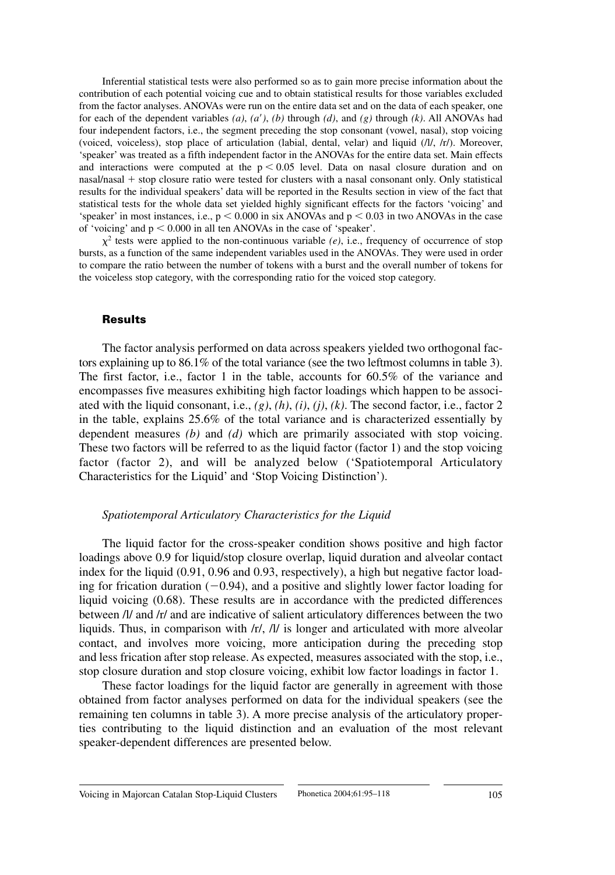Inferential statistical tests were also performed so as to gain more precise information about the contribution of each potential voicing cue and to obtain statistical results for those variables excluded from the factor analyses. ANOVAs were run on the entire data set and on the data of each speaker, one for each of the dependent variables *(a)*, *(a)*, *(b)* through *(d)*, and *(g)* through *(k)*. All ANOVAs had four independent factors, i.e., the segment preceding the stop consonant (vowel, nasal), stop voicing (voiced, voiceless), stop place of articulation (labial, dental, velar) and liquid (/l/, /r/). Moreover, 'speaker' was treated as a fifth independent factor in the ANOVAs for the entire data set. Main effects and interactions were computed at the  $p < 0.05$  level. Data on nasal closure duration and on nasal/nasal  $+$  stop closure ratio were tested for clusters with a nasal consonant only. Only statistical results for the individual speakers' data will be reported in the Results section in view of the fact that statistical tests for the whole data set yielded highly significant effects for the factors 'voicing' and 'speaker' in most instances, i.e.,  $p < 0.000$  in six ANOVAs and  $p < 0.03$  in two ANOVAs in the case of 'voicing' and  $p < 0.000$  in all ten ANOVAs in the case of 'speaker'.

 $\chi^2$  tests were applied to the non-continuous variable *(e)*, i.e., frequency of occurrence of stop bursts, as a function of the same independent variables used in the ANOVAs. They were used in order to compare the ratio between the number of tokens with a burst and the overall number of tokens for the voiceless stop category, with the corresponding ratio for the voiced stop category.

#### **Results**

The factor analysis performed on data across speakers yielded two orthogonal factors explaining up to 86.1% of the total variance (see the two leftmost columns in table 3). The first factor, i.e., factor 1 in the table, accounts for 60.5% of the variance and encompasses five measures exhibiting high factor loadings which happen to be associated with the liquid consonant, i.e., *(g)*, *(h)*, *(i)*, *(j)*, *(k)*. The second factor, i.e., factor 2 in the table, explains 25.6% of the total variance and is characterized essentially by dependent measures *(b)* and *(d)* which are primarily associated with stop voicing. These two factors will be referred to as the liquid factor (factor 1) and the stop voicing factor (factor 2), and will be analyzed below ('Spatiotemporal Articulatory Characteristics for the Liquid' and 'Stop Voicing Distinction').

# *Spatiotemporal Articulatory Characteristics for the Liquid*

The liquid factor for the cross-speaker condition shows positive and high factor loadings above 0.9 for liquid/stop closure overlap, liquid duration and alveolar contact index for the liquid (0.91, 0.96 and 0.93, respectively), a high but negative factor loading for frication duration  $(-0.94)$ , and a positive and slightly lower factor loading for liquid voicing (0.68). These results are in accordance with the predicted differences between /l/ and /r/ and are indicative of salient articulatory differences between the two liquids. Thus, in comparison with /r/, /l/ is longer and articulated with more alveolar contact, and involves more voicing, more anticipation during the preceding stop and less frication after stop release. As expected, measures associated with the stop, i.e., stop closure duration and stop closure voicing, exhibit low factor loadings in factor 1.

These factor loadings for the liquid factor are generally in agreement with those obtained from factor analyses performed on data for the individual speakers (see the remaining ten columns in table 3). A more precise analysis of the articulatory properties contributing to the liquid distinction and an evaluation of the most relevant speaker-dependent differences are presented below.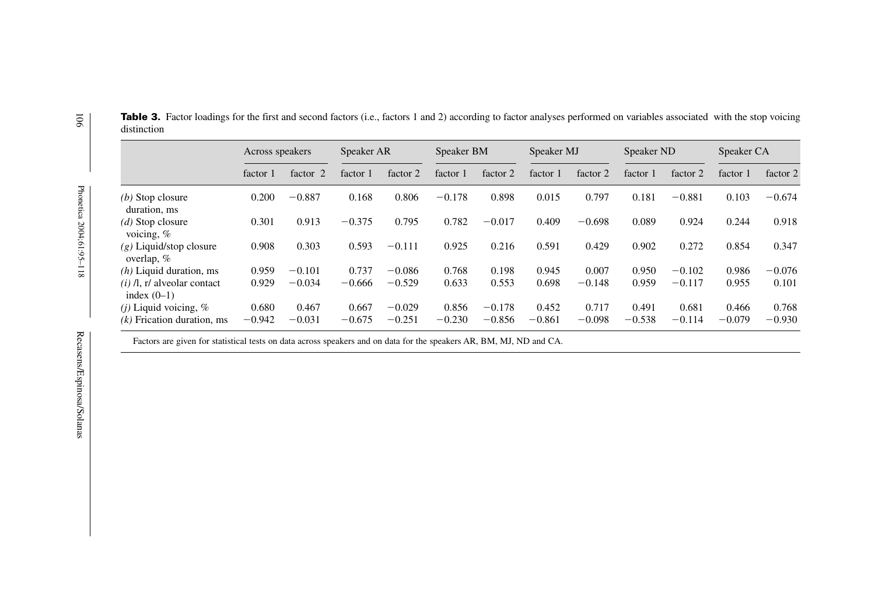| factor 1<br>0.200 | factor 2 | factor 1 | factor 2 | factor 1 | factor 2 |          |          |          |          |                                                                                                                     |          |
|-------------------|----------|----------|----------|----------|----------|----------|----------|----------|----------|---------------------------------------------------------------------------------------------------------------------|----------|
|                   |          |          |          |          |          | factor 1 | factor 2 | factor 1 | factor 2 | factor 1                                                                                                            | factor 2 |
|                   | $-0.887$ | 0.168    | 0.806    | $-0.178$ | 0.898    | 0.015    | 0.797    | 0.181    | $-0.881$ | 0.103                                                                                                               | $-0.674$ |
| 0.301             | 0.913    | $-0.375$ | 0.795    | 0.782    | $-0.017$ | 0.409    | $-0.698$ | 0.089    | 0.924    | 0.244                                                                                                               | 0.918    |
| 0.908             | 0.303    | 0.593    | $-0.111$ | 0.925    | 0.216    | 0.591    | 0.429    | 0.902    | 0.272    | 0.854                                                                                                               | 0.347    |
| 0.959             | $-0.101$ | 0.737    | $-0.086$ | 0.768    | 0.198    | 0.945    | 0.007    | 0.950    | $-0.102$ | 0.986                                                                                                               | $-0.076$ |
| 0.929             | $-0.034$ | $-0.666$ | $-0.529$ | 0.633    | 0.553    | 0.698    | $-0.148$ | 0.959    | $-0.117$ | 0.955                                                                                                               | 0.101    |
| 0.680             | 0.467    | 0.667    | $-0.029$ | 0.856    | $-0.178$ | 0.452    | 0.717    | 0.491    | 0.681    | 0.466                                                                                                               | 0.768    |
| $-0.942$          | $-0.031$ | $-0.675$ | $-0.251$ | $-0.230$ | $-0.856$ | $-0.861$ | $-0.098$ | $-0.538$ | $-0.114$ | $-0.079$                                                                                                            | $-0.930$ |
|                   |          |          |          |          |          |          |          |          |          | Factors are given for statistical tests on data across speakers and on data for the speakers AR, BM, MJ, ND and CA. |          |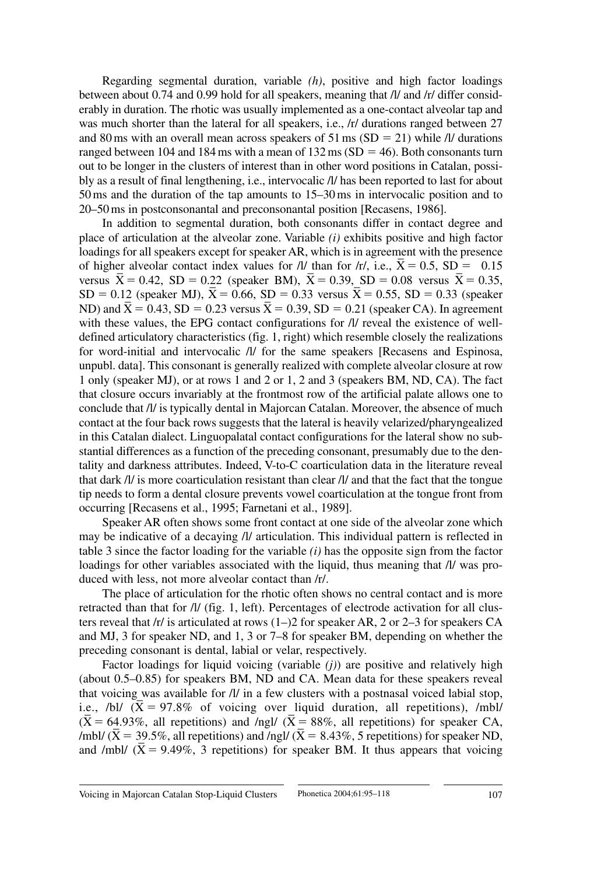Regarding segmental duration, variable *(h)*, positive and high factor loadings between about 0.74 and 0.99 hold for all speakers, meaning that /l/ and /r/ differ considerably in duration. The rhotic was usually implemented as a one-contact alveolar tap and was much shorter than the lateral for all speakers, i.e.,  $\pi$ / durations ranged between 27 and 80 ms with an overall mean across speakers of  $51 \text{ ms (SD} = 21)$  while /l/ durations ranged between 104 and 184 ms with a mean of  $132 \text{ ms}$  (SD = 46). Both consonants turn out to be longer in the clusters of interest than in other word positions in Catalan, possibly as a result of final lengthening, i.e., intervocalic /l/ has been reported to last for about 50 ms and the duration of the tap amounts to 15–30 ms in intervocalic position and to 20–50 ms in postconsonantal and preconsonantal position [Recasens, 1986].

In addition to segmental duration, both consonants differ in contact degree and place of articulation at the alveolar zone. Variable *(i)* exhibits positive and high factor loadings for all speakers except for speaker AR, which is in agreement with the presence loadings for all speakers except for speaker AR, which is in agreement with the presence<br>of higher alveolar contact index values for */l/* than for */r/*, i.e.,  $\overline{X} = 0.5$ , SD = 0.15 of higher alveolar contact index values for */l/* than for */r/*, i.e.,  $X = 0.5$ ,  $SD = 0.15$ <br>versus  $\overline{X} = 0.42$ ,  $SD = 0.22$  (speaker BM),  $\overline{X} = 0.39$ ,  $SD = 0.08$  versus  $\overline{X} = 0.35$ , versus  $X = 0.42$ , SD = 0.22 (speaker BM),  $X = 0.39$ , SD = 0.08 versus  $X = 0.35$ , SD = 0.12 (speaker MJ),  $\bar{X} = 0.66$ , SD = 0.33 versus  $\bar{X} = 0.55$ , SD = 0.33 (speaker  $SD = 0.12$  (speaker MJ),  $X = 0.66$ ,  $SD = 0.33$  versus  $X = 0.55$ ,  $SD = 0.33$  (speaker ND) and  $\overline{X} = 0.43$ ,  $SD = 0.23$  versus  $\overline{X} = 0.39$ ,  $SD = 0.21$  (speaker CA). In agreement with these values, the EPG contact configurations for  $/$  reveal the existence of welldefined articulatory characteristics (fig. 1, right) which resemble closely the realizations for word-initial and intervocalic /l/ for the same speakers [Recasens and Espinosa, unpubl. data]. This consonant is generally realized with complete alveolar closure at row 1 only (speaker MJ), or at rows 1 and 2 or 1, 2 and 3 (speakers BM, ND, CA). The fact that closure occurs invariably at the frontmost row of the artificial palate allows one to conclude that /l/ is typically dental in Majorcan Catalan. Moreover, the absence of much contact at the four back rows suggests that the lateral is heavily velarized/pharyngealized in this Catalan dialect. Linguopalatal contact configurations for the lateral show no substantial differences as a function of the preceding consonant, presumably due to the dentality and darkness attributes. Indeed, V-to-C coarticulation data in the literature reveal that dark /l/ is more coarticulation resistant than clear /l/ and that the fact that the tongue tip needs to form a dental closure prevents vowel coarticulation at the tongue front from occurring [Recasens et al., 1995; Farnetani et al., 1989].

Speaker AR often shows some front contact at one side of the alveolar zone which may be indicative of a decaying /l/ articulation. This individual pattern is reflected in table 3 since the factor loading for the variable *(i)* has the opposite sign from the factor loadings for other variables associated with the liquid, thus meaning that  $\Lambda$ / was produced with less, not more alveolar contact than /r/.

The place of articulation for the rhotic often shows no central contact and is more retracted than that for /l/ (fig. 1, left). Percentages of electrode activation for all clusters reveal that /r/ is articulated at rows (1–)2 for speaker AR, 2 or 2–3 for speakers CA and MJ, 3 for speaker ND, and 1, 3 or 7–8 for speaker BM, depending on whether the preceding consonant is dental, labial or velar, respectively.

Factor loadings for liquid voicing (variable *(j)*) are positive and relatively high (about 0.5–0.85) for speakers BM, ND and CA. Mean data for these speakers reveal that voicing was available for /l/ in a few clusters with a postnasal voiced labial stop, that voicing was available for /l/ in a few clusters with a postnasal voiced labial stop,<br>i.e., /bl/  $(\bar{X} = 97.8\%$  of voicing over liquid duration, all repetitions), /mbl/ i.e., /bl/  $(X = 97.8\%$  of voicing over liquid duration, all repetitions), /mbl/  $(\bar{X} = 64.93\%$ , all repetitions) and /ngl/  $(\bar{X} = 88\%$ , all repetitions) for speaker CA,  $(X = 64.93\%)$ , all repetitions) and /ngl/  $(X = 88\%)$ , all repetitions) for speaker CA,  $/mbl/\overline{X} = 39.5\%$ , all repetitions) and /ngl/  $(\overline{X} = 8.43\%$ , 5 repetitions) for speaker ND, /mbl/ ( $X = 39.5\%$ , all repetitions) and /ngl/ ( $X = 8.43\%$ , 5 repetitions) for speaker ND, and /mbl/ ( $\overline{X} = 9.49\%$ , 3 repetitions) for speaker BM. It thus appears that voicing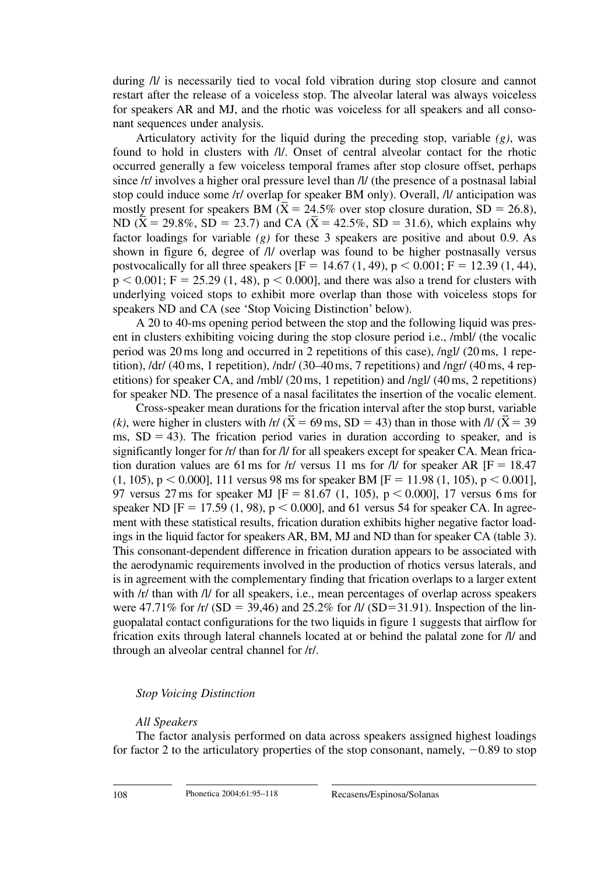during /l/ is necessarily tied to vocal fold vibration during stop closure and cannot restart after the release of a voiceless stop. The alveolar lateral was always voiceless for speakers AR and MJ, and the rhotic was voiceless for all speakers and all consonant sequences under analysis.

Articulatory activity for the liquid during the preceding stop, variable *(g)*, was found to hold in clusters with /l/. Onset of central alveolar contact for the rhotic occurred generally a few voiceless temporal frames after stop closure offset, perhaps since /r/ involves a higher oral pressure level than /l/ (the presence of a postnasal labial stop could induce some /r/ overlap for speaker BM only). Overall, /l/ anticipation was stop could induce some /r/ overlap for speaker BM only). Overall, /l/ anticipation was mostly present for speakers BM ( $\bar{X}$  = 24.5% over stop closure duration, SD = 26.8), mostly present for speakers BM ( $X = 24.5\%$  over stop closure duration, SD = 26.8),<br>ND ( $\bar{X} = 29.8\%$ , SD = 23.7) and CA ( $\bar{X} = 42.5\%$ , SD = 31.6), which explains why factor loadings for variable *(g)* for these 3 speakers are positive and about 0.9. As shown in figure 6, degree of /l/ overlap was found to be higher postnasally versus postvocalically for all three speakers  $[F = 14.67 (1, 49), p < 0.001; F = 12.39 (1, 44),$  $p < 0.001$ ; F = 25.29 (1, 48),  $p < 0.000$ ], and there was also a trend for clusters with underlying voiced stops to exhibit more overlap than those with voiceless stops for speakers ND and CA (see 'Stop Voicing Distinction' below).

A 20 to 40-ms opening period between the stop and the following liquid was present in clusters exhibiting voicing during the stop closure period i.e., /mbl/ (the vocalic period was 20 ms long and occurred in 2 repetitions of this case), /ngl/ (20 ms, 1 repetition), /dr/ (40 ms, 1 repetition), /ndr/ (30–40 ms, 7 repetitions) and /ngr/ (40 ms, 4 repetitions) for speaker CA, and /mbl/ (20 ms, 1 repetition) and /ngl/ (40 ms, 2 repetitions) for speaker ND. The presence of a nasal facilitates the insertion of the vocalic element.

Cross-speaker mean durations for the frication interval after the stop burst, variable Cross-speaker mean durations for the frication interval after the stop burst, variable (*k*), were higher in clusters with /r/ ( $\bar{X} = 69$  ms, SD = 43) than in those with /l/ ( $\bar{X} = 39$  $ms, SD = 43$ ). The frication period varies in duration according to speaker, and is significantly longer for /r/ than for /l/ for all speakers except for speaker CA. Mean frication duration values are 61 ms for /r/ versus 11 ms for /l/ for speaker AR [ $F = 18.47$  $(1, 105)$ ,  $p < 0.000$ ], 111 versus 98 ms for speaker BM [F = 11.98 (1, 105),  $p < 0.001$ ], 97 versus 27 ms for speaker MJ [F = 81.67 (1, 105),  $p < 0.000$ ], 17 versus 6 ms for speaker ND [F = 17.59 (1, 98),  $p < 0.000$ ], and 61 versus 54 for speaker CA. In agreement with these statistical results, frication duration exhibits higher negative factor loadings in the liquid factor for speakers AR, BM, MJ and ND than for speaker CA (table 3). This consonant-dependent difference in frication duration appears to be associated with the aerodynamic requirements involved in the production of rhotics versus laterals, and is in agreement with the complementary finding that frication overlaps to a larger extent with /r/ than with /l/ for all speakers, i.e., mean percentages of overlap across speakers were 47.71% for /r/ (SD = 39,46) and 25.2% for /l/ (SD=31.91). Inspection of the linguopalatal contact configurations for the two liquids in figure 1 suggests that airflow for frication exits through lateral channels located at or behind the palatal zone for /l/ and through an alveolar central channel for /r/.

# *Stop Voicing Distinction*

# *All Speakers*

The factor analysis performed on data across speakers assigned highest loadings for factor 2 to the articulatory properties of the stop consonant, namely,  $-0.89$  to stop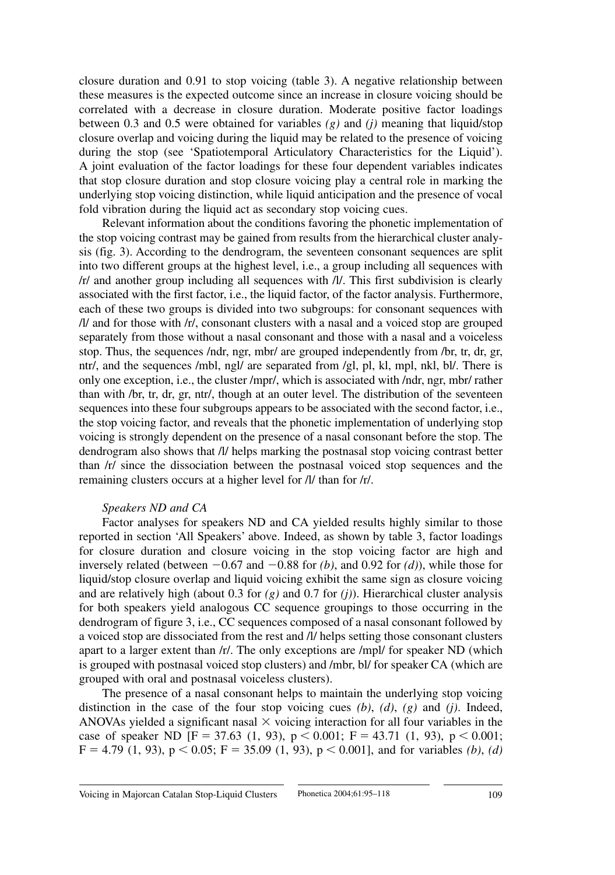closure duration and 0.91 to stop voicing (table 3). A negative relationship between these measures is the expected outcome since an increase in closure voicing should be correlated with a decrease in closure duration. Moderate positive factor loadings between 0.3 and 0.5 were obtained for variables *(g)* and *(j)* meaning that liquid/stop closure overlap and voicing during the liquid may be related to the presence of voicing during the stop (see 'Spatiotemporal Articulatory Characteristics for the Liquid'). A joint evaluation of the factor loadings for these four dependent variables indicates that stop closure duration and stop closure voicing play a central role in marking the underlying stop voicing distinction, while liquid anticipation and the presence of vocal fold vibration during the liquid act as secondary stop voicing cues.

Relevant information about the conditions favoring the phonetic implementation of the stop voicing contrast may be gained from results from the hierarchical cluster analysis (fig. 3). According to the dendrogram, the seventeen consonant sequences are split into two different groups at the highest level, i.e., a group including all sequences with /r/ and another group including all sequences with /l/. This first subdivision is clearly associated with the first factor, i.e., the liquid factor, of the factor analysis. Furthermore, each of these two groups is divided into two subgroups: for consonant sequences with /l/ and for those with /r/, consonant clusters with a nasal and a voiced stop are grouped separately from those without a nasal consonant and those with a nasal and a voiceless stop. Thus, the sequences /ndr, ngr, mbr/ are grouped independently from /br, tr, dr, gr, ntr/, and the sequences /mbl, ngl/ are separated from /gl, pl, kl, mpl, nkl, bl/. There is only one exception, i.e., the cluster /mpr/, which is associated with /ndr, ngr, mbr/ rather than with /br, tr, dr, gr, ntr/, though at an outer level. The distribution of the seventeen sequences into these four subgroups appears to be associated with the second factor, i.e., the stop voicing factor, and reveals that the phonetic implementation of underlying stop voicing is strongly dependent on the presence of a nasal consonant before the stop. The dendrogram also shows that /l/ helps marking the postnasal stop voicing contrast better than /r/ since the dissociation between the postnasal voiced stop sequences and the remaining clusters occurs at a higher level for /l/ than for /r/.

# *Speakers ND and CA*

Factor analyses for speakers ND and CA yielded results highly similar to those reported in section 'All Speakers' above. Indeed, as shown by table 3, factor loadings for closure duration and closure voicing in the stop voicing factor are high and inversely related (between  $-0.67$  and  $-0.88$  for *(b)*, and 0.92 for *(d)*), while those for liquid/stop closure overlap and liquid voicing exhibit the same sign as closure voicing and are relatively high (about 0.3 for *(g)* and 0.7 for *(j)*). Hierarchical cluster analysis for both speakers yield analogous CC sequence groupings to those occurring in the dendrogram of figure 3, i.e., CC sequences composed of a nasal consonant followed by a voiced stop are dissociated from the rest and /l/ helps setting those consonant clusters apart to a larger extent than /r/. The only exceptions are /mpl/ for speaker ND (which is grouped with postnasal voiced stop clusters) and /mbr, bl/ for speaker CA (which are grouped with oral and postnasal voiceless clusters).

The presence of a nasal consonant helps to maintain the underlying stop voicing distinction in the case of the four stop voicing cues *(b)*, *(d)*, *(g)* and *(j)*. Indeed, ANOVAs yielded a significant nasal  $\times$  voicing interaction for all four variables in the case of speaker ND [F = 37.63 (1, 93),  $p < 0.001$ ; F = 43.71 (1, 93),  $p < 0.001$ ;  $F = 4.79$  (1, 93),  $p < 0.05$ ;  $F = 35.09$  (1, 93),  $p < 0.001$ ], and for variables *(b)*, *(d)*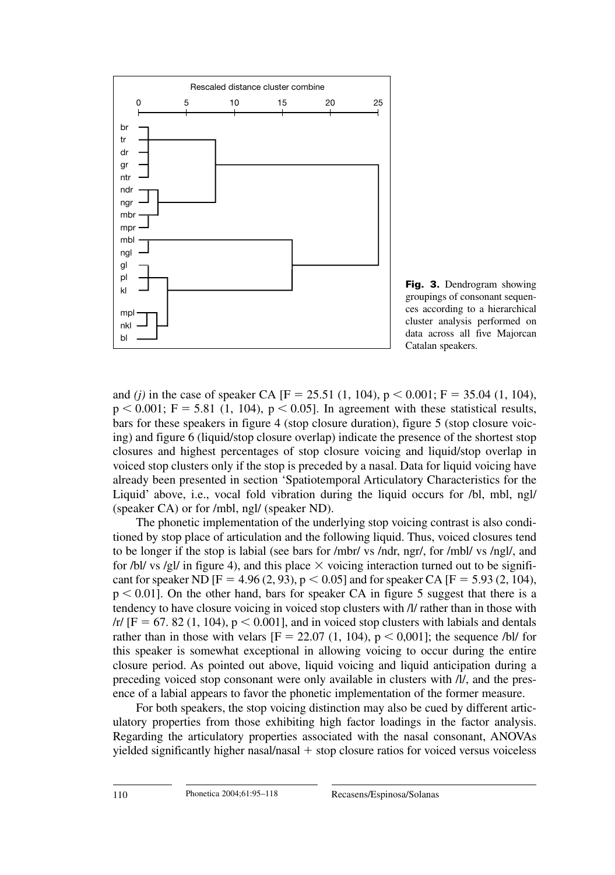

**Fig. 3.** Dendrogram showing groupings of consonant sequences according to a hierarchical cluster analysis performed on data across all five Majorcan Catalan speakers.

and (*j*) in the case of speaker CA [F = 25.51 (1, 104),  $p < 0.001$ ; F = 35.04 (1, 104),  $p < 0.001$ ; F = 5.81 (1, 104),  $p < 0.05$ ]. In agreement with these statistical results, bars for these speakers in figure 4 (stop closure duration), figure 5 (stop closure voicing) and figure 6 (liquid/stop closure overlap) indicate the presence of the shortest stop closures and highest percentages of stop closure voicing and liquid/stop overlap in voiced stop clusters only if the stop is preceded by a nasal. Data for liquid voicing have already been presented in section 'Spatiotemporal Articulatory Characteristics for the Liquid' above, i.e., vocal fold vibration during the liquid occurs for /bl, mbl, ngl/ (speaker CA) or for /mbl, ngl/ (speaker ND).

The phonetic implementation of the underlying stop voicing contrast is also conditioned by stop place of articulation and the following liquid. Thus, voiced closures tend to be longer if the stop is labial (see bars for /mbr/ vs /ndr, ngr/, for /mbl/ vs /ngl/, and for /bl/ vs /gl/ in figure 4), and this place  $\times$  voicing interaction turned out to be significant for speaker ND [F = 4.96 (2, 93),  $p < 0.05$ ] and for speaker CA [F = 5.93 (2, 104),  $p < 0.01$ . On the other hand, bars for speaker CA in figure 5 suggest that there is a tendency to have closure voicing in voiced stop clusters with /l/ rather than in those with  $/r/$  [F = 67. 82 (1, 104),  $p < 0.001$ ], and in voiced stop clusters with labials and dentals rather than in those with velars  $[F = 22.07 (1, 104), p < 0.001]$ ; the sequence /bl/ for this speaker is somewhat exceptional in allowing voicing to occur during the entire closure period. As pointed out above, liquid voicing and liquid anticipation during a preceding voiced stop consonant were only available in clusters with /l/, and the presence of a labial appears to favor the phonetic implementation of the former measure.

For both speakers, the stop voicing distinction may also be cued by different articulatory properties from those exhibiting high factor loadings in the factor analysis. Regarding the articulatory properties associated with the nasal consonant, ANOVAs yielded significantly higher nasal/nasal  $+$  stop closure ratios for voiced versus voiceless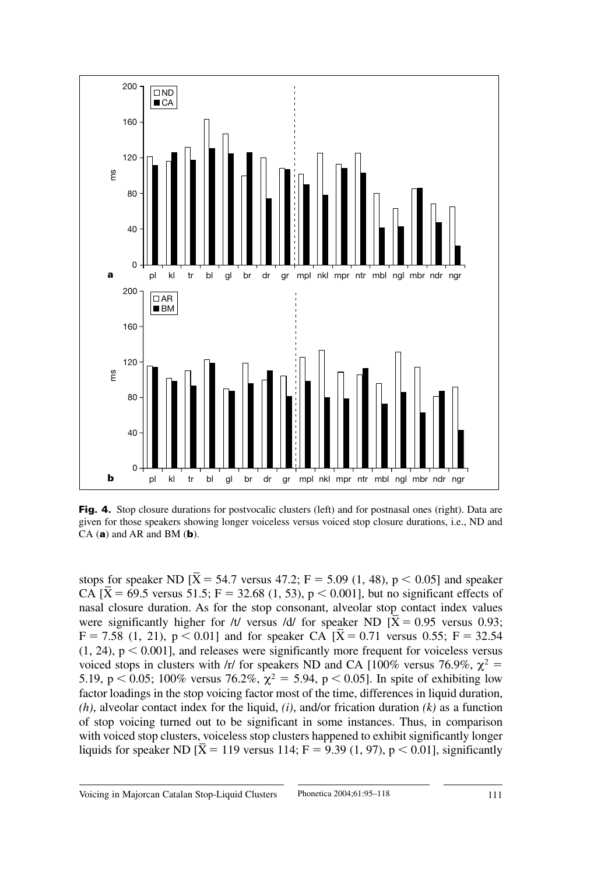

Fig. 4. Stop closure durations for postvocalic clusters (left) and for postnasal ones (right). Data are given for those speakers showing longer voiceless versus voiced stop closure durations, i.e., ND and CA (**a**) and AR and BM (**b**).

stops for speaker ND [ $\bar{X}$  = 54.7 versus 47.2; F = 5.09 (1, 48), p < 0.05] and speaker stops for speaker ND [X = 54.7 versus 47.2; F = 5.09 (1, 48), p < 0.05] and speaker<br>CA [ $\bar{X}$  = 69.5 versus 51.5; F = 32.68 (1, 53), p < 0.001], but no significant effects of nasal closure duration. As for the stop consonant, alveolar stop contact index values masal closure duration. As for the stop consonant, alveolar stop contact index values<br>were significantly higher for /t/ versus /d/ for speaker ND  $[X = 0.95$  versus 0.93; were significantly higher for *It* versus *IdI* for speaker ND [X = 0.95 versus 0.93;<br>F = 7.58 (1, 21),  $p < 0.01$ ] and for speaker CA [ $\overline{X}$  = 0.71 versus 0.55; F = 32.54  $(1, 24)$ ,  $p < 0.001$ ], and releases were significantly more frequent for voiceless versus voiced stops in clusters with /r/ for speakers ND and CA [100% versus 76.9%,  $\chi^2$  = 5.19, p < 0.05; 100% versus 76.2%,  $\chi^2 = 5.94$ , p < 0.05]. In spite of exhibiting low factor loadings in the stop voicing factor most of the time, differences in liquid duration, *(h)*, alveolar contact index for the liquid, *(i)*, and/or frication duration *(k)* as a function of stop voicing turned out to be significant in some instances. Thus, in comparison with voiced stop clusters, voiceless stop clusters happened to exhibit significantly longer with voiced stop clusters, voiceless stop clusters happened to exhibit significantly longer<br>liquids for speaker ND [ $\bar{X}$  = 119 versus 114; F = 9.39 (1, 97), p < 0.01], significantly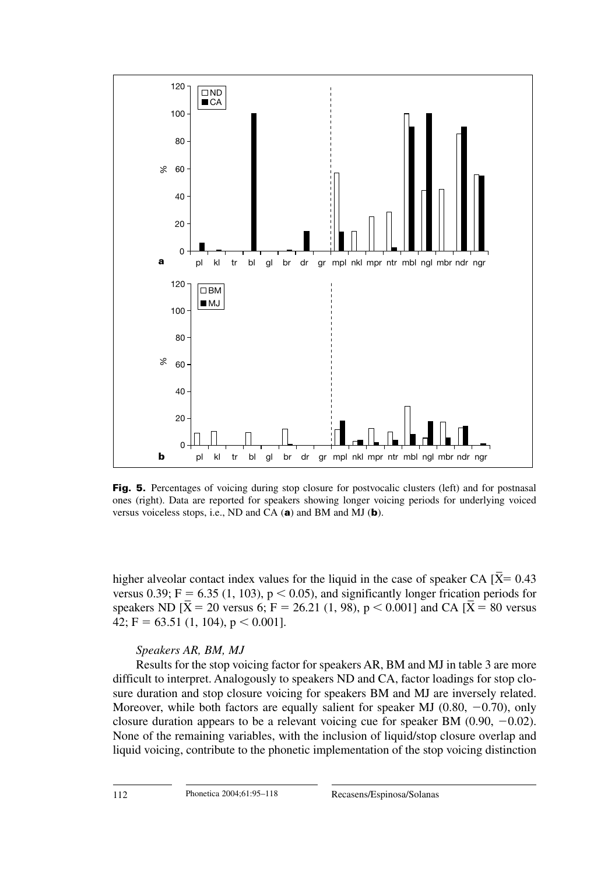

**Fig. 5.** Percentages of voicing during stop closure for postvocalic clusters (left) and for postnasal ones (right). Data are reported for speakers showing longer voicing periods for underlying voiced versus voiceless stops, i.e., ND and CA (**a**) and BM and MJ (**b**).

higher alveolar contact index values for the liquid in the case of speaker CA [ $\bar{X}$  = 0.43 versus 0.39;  $F = 6.35$  (1, 103),  $p < 0.05$ ), and significantly longer frication periods for versus 0.39; F = 6.35 (1, 103), p < 0.05), and significantly longer frication periods for speakers ND [ $\bar{X}$  = 20 versus 6; F = 26.21 (1, 98), p < 0.001] and CA [ $\bar{X}$  = 80 versus  $42; F = 63.51$  (1, 104),  $p < 0.001$ ].

# *Speakers AR, BM, MJ*

Results for the stop voicing factor for speakers AR, BM and MJ in table 3 are more difficult to interpret. Analogously to speakers ND and CA, factor loadings for stop closure duration and stop closure voicing for speakers BM and MJ are inversely related. Moreover, while both factors are equally salient for speaker MJ  $(0.80, -0.70)$ , only closure duration appears to be a relevant voicing cue for speaker BM  $(0.90, -0.02)$ . None of the remaining variables, with the inclusion of liquid/stop closure overlap and liquid voicing, contribute to the phonetic implementation of the stop voicing distinction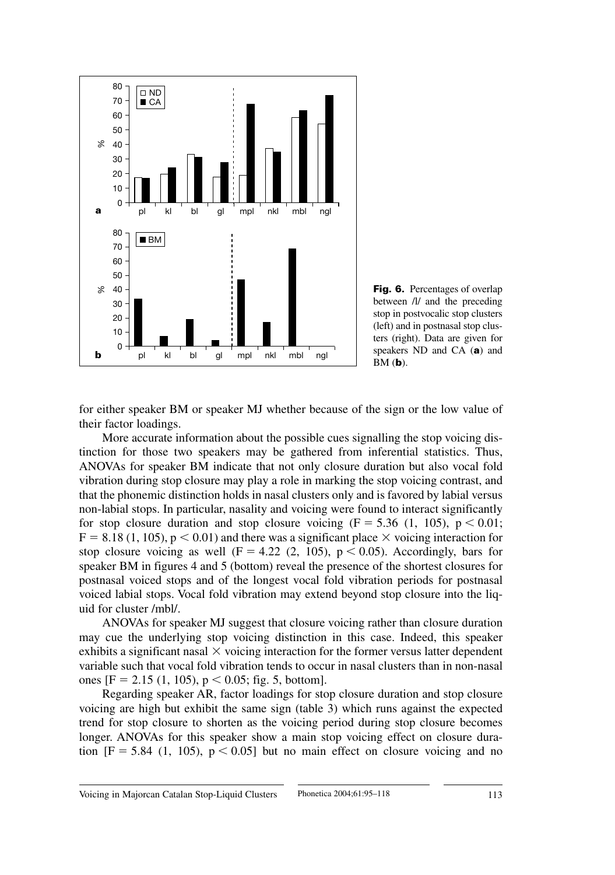

**Fig. 6.** Percentages of overlap between /l/ and the preceding stop in postvocalic stop clusters (left) and in postnasal stop clusters (right). Data are given for speakers ND and CA (**a**) and BM (**b**).

for either speaker BM or speaker MJ whether because of the sign or the low value of their factor loadings.

More accurate information about the possible cues signalling the stop voicing distinction for those two speakers may be gathered from inferential statistics. Thus, ANOVAs for speaker BM indicate that not only closure duration but also vocal fold vibration during stop closure may play a role in marking the stop voicing contrast, and that the phonemic distinction holds in nasal clusters only and is favored by labial versus non-labial stops. In particular, nasality and voicing were found to interact significantly for stop closure duration and stop closure voicing  $(F = 5.36 (1, 105), p < 0.01;$  $F = 8.18$  (1, 105),  $p < 0.01$ ) and there was a significant place  $\times$  voicing interaction for stop closure voicing as well  $(F = 4.22 \ (2, 105), p < 0.05)$ . Accordingly, bars for speaker BM in figures 4 and 5 (bottom) reveal the presence of the shortest closures for postnasal voiced stops and of the longest vocal fold vibration periods for postnasal voiced labial stops. Vocal fold vibration may extend beyond stop closure into the liquid for cluster /mbl/.

ANOVAs for speaker MJ suggest that closure voicing rather than closure duration may cue the underlying stop voicing distinction in this case. Indeed, this speaker exhibits a significant nasal  $\times$  voicing interaction for the former versus latter dependent variable such that vocal fold vibration tends to occur in nasal clusters than in non-nasal ones [F = 2.15 (1, 105),  $p < 0.05$ ; fig. 5, bottom].

Regarding speaker AR, factor loadings for stop closure duration and stop closure voicing are high but exhibit the same sign (table 3) which runs against the expected trend for stop closure to shorten as the voicing period during stop closure becomes longer. ANOVAs for this speaker show a main stop voicing effect on closure duration  $[F = 5.84 \ (1, 105), p < 0.05]$  but no main effect on closure voicing and no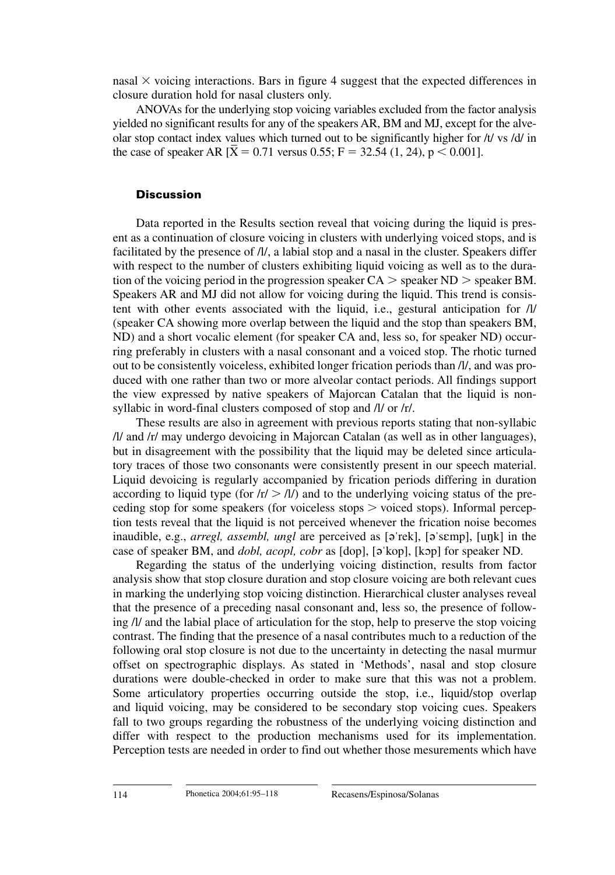nasal  $\times$  voicing interactions. Bars in figure 4 suggest that the expected differences in closure duration hold for nasal clusters only.

ANOVAs for the underlying stop voicing variables excluded from the factor analysis yielded no significant results for any of the speakers AR, BM and MJ, except for the alveolar stop contact index values which turned out to be significantly higher for /t/ vs /d/ in olar stop contact index values which turned out to be significantly higher for the case of speaker AR  $[\bar{X} = 0.71$  versus 0.55; F = 32.54 (1, 24), p < 0.001].

# **Discussion**

Data reported in the Results section reveal that voicing during the liquid is present as a continuation of closure voicing in clusters with underlying voiced stops, and is facilitated by the presence of /l/, a labial stop and a nasal in the cluster. Speakers differ with respect to the number of clusters exhibiting liquid voicing as well as to the duration of the voicing period in the progression speaker  $CA >$  speaker  $ND >$  speaker BM. Speakers AR and MJ did not allow for voicing during the liquid. This trend is consistent with other events associated with the liquid, i.e., gestural anticipation for /l/ (speaker CA showing more overlap between the liquid and the stop than speakers BM, ND) and a short vocalic element (for speaker CA and, less so, for speaker ND) occurring preferably in clusters with a nasal consonant and a voiced stop. The rhotic turned out to be consistently voiceless, exhibited longer frication periods than /l/, and was produced with one rather than two or more alveolar contact periods. All findings support the view expressed by native speakers of Majorcan Catalan that the liquid is nonsyllabic in word-final clusters composed of stop and /l/ or /r/.

These results are also in agreement with previous reports stating that non-syllabic /l/ and /r/ may undergo devoicing in Majorcan Catalan (as well as in other languages), but in disagreement with the possibility that the liquid may be deleted since articulatory traces of those two consonants were consistently present in our speech material. Liquid devoicing is regularly accompanied by frication periods differing in duration according to liquid type (for  $|r| > 1$ ) and to the underlying voicing status of the preceding stop for some speakers (for voiceless stops  $>$  voiced stops). Informal perception tests reveal that the liquid is not perceived whenever the frication noise becomes inaudible, e.g., *arregl, assembl, ungl* are perceived as [ə'rek], [ə'sɛmp], [uŋk] in the case of speaker BM, and *dobl, acopl, cobr* as [dop], [ə kop], [kɔp] for speaker ND.

Regarding the status of the underlying voicing distinction, results from factor analysis show that stop closure duration and stop closure voicing are both relevant cues in marking the underlying stop voicing distinction. Hierarchical cluster analyses reveal that the presence of a preceding nasal consonant and, less so, the presence of following /l/ and the labial place of articulation for the stop, help to preserve the stop voicing contrast. The finding that the presence of a nasal contributes much to a reduction of the following oral stop closure is not due to the uncertainty in detecting the nasal murmur offset on spectrographic displays. As stated in 'Methods', nasal and stop closure durations were double-checked in order to make sure that this was not a problem. Some articulatory properties occurring outside the stop, i.e., liquid/stop overlap and liquid voicing, may be considered to be secondary stop voicing cues. Speakers fall to two groups regarding the robustness of the underlying voicing distinction and differ with respect to the production mechanisms used for its implementation. Perception tests are needed in order to find out whether those mesurements which have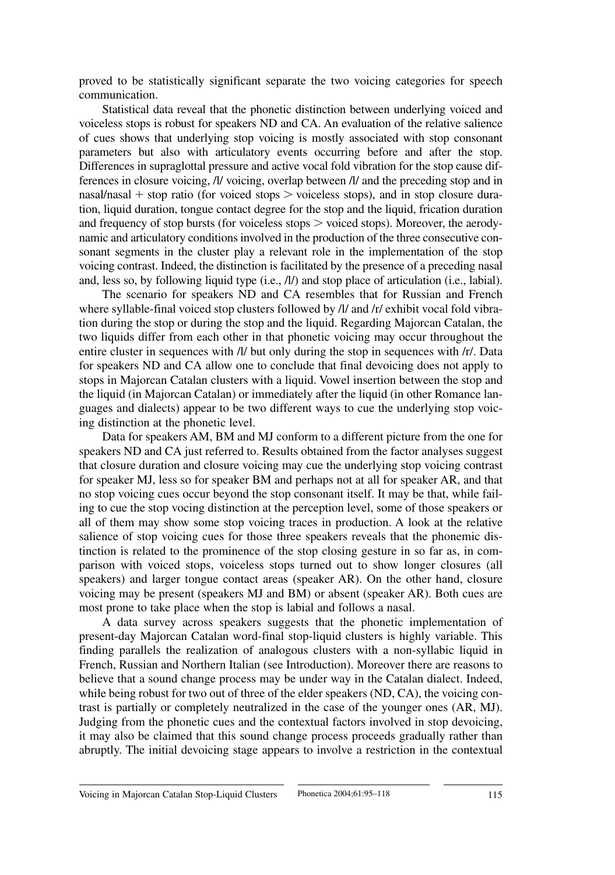proved to be statistically significant separate the two voicing categories for speech communication.

Statistical data reveal that the phonetic distinction between underlying voiced and voiceless stops is robust for speakers ND and CA. An evaluation of the relative salience of cues shows that underlying stop voicing is mostly associated with stop consonant parameters but also with articulatory events occurring before and after the stop. Differences in supraglottal pressure and active vocal fold vibration for the stop cause differences in closure voicing, /l/ voicing, overlap between /l/ and the preceding stop and in nasal/nasal  $+$  stop ratio (for voiced stops  $>$  voiceless stops), and in stop closure duration, liquid duration, tongue contact degree for the stop and the liquid, frication duration and frequency of stop bursts (for voiceless stops  $>$  voiced stops). Moreover, the aerodynamic and articulatory conditions involved in the production of the three consecutive consonant segments in the cluster play a relevant role in the implementation of the stop voicing contrast. Indeed, the distinction is facilitated by the presence of a preceding nasal and, less so, by following liquid type (i.e., /l/) and stop place of articulation (i.e., labial).

The scenario for speakers ND and CA resembles that for Russian and French where syllable-final voiced stop clusters followed by /l/ and /r/ exhibit vocal fold vibration during the stop or during the stop and the liquid. Regarding Majorcan Catalan, the two liquids differ from each other in that phonetic voicing may occur throughout the entire cluster in sequences with /l/ but only during the stop in sequences with /r/. Data for speakers ND and CA allow one to conclude that final devoicing does not apply to stops in Majorcan Catalan clusters with a liquid. Vowel insertion between the stop and the liquid (in Majorcan Catalan) or immediately after the liquid (in other Romance languages and dialects) appear to be two different ways to cue the underlying stop voicing distinction at the phonetic level.

Data for speakers AM, BM and MJ conform to a different picture from the one for speakers ND and CA just referred to. Results obtained from the factor analyses suggest that closure duration and closure voicing may cue the underlying stop voicing contrast for speaker MJ, less so for speaker BM and perhaps not at all for speaker AR, and that no stop voicing cues occur beyond the stop consonant itself. It may be that, while failing to cue the stop vocing distinction at the perception level, some of those speakers or all of them may show some stop voicing traces in production. A look at the relative salience of stop voicing cues for those three speakers reveals that the phonemic distinction is related to the prominence of the stop closing gesture in so far as, in comparison with voiced stops, voiceless stops turned out to show longer closures (all speakers) and larger tongue contact areas (speaker AR). On the other hand, closure voicing may be present (speakers MJ and BM) or absent (speaker AR). Both cues are most prone to take place when the stop is labial and follows a nasal.

A data survey across speakers suggests that the phonetic implementation of present-day Majorcan Catalan word-final stop-liquid clusters is highly variable. This finding parallels the realization of analogous clusters with a non-syllabic liquid in French, Russian and Northern Italian (see Introduction). Moreover there are reasons to believe that a sound change process may be under way in the Catalan dialect. Indeed, while being robust for two out of three of the elder speakers (ND, CA), the voicing contrast is partially or completely neutralized in the case of the younger ones (AR, MJ). Judging from the phonetic cues and the contextual factors involved in stop devoicing, it may also be claimed that this sound change process proceeds gradually rather than abruptly. The initial devoicing stage appears to involve a restriction in the contextual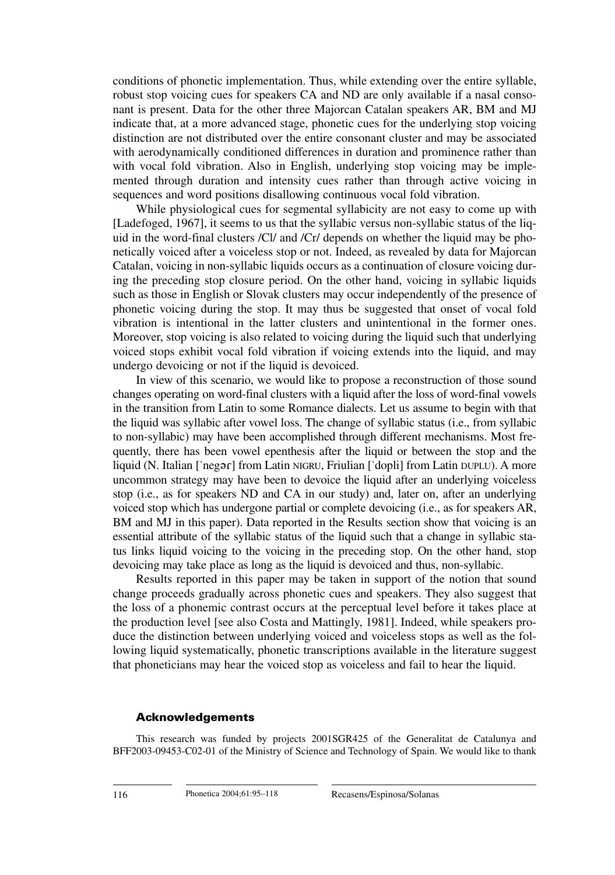conditions of phonetic implementation. Thus, while extending over the entire syllable, robust stop voicing cues for speakers CA and ND are only available if a nasal consonant is present. Data for the other three Majorcan Catalan speakers AR, BM and MJ indicate that, at a more advanced stage, phonetic cues for the underlying stop voicing distinction are not distributed over the entire consonant cluster and may be associated with aerodynamically conditioned differences in duration and prominence rather than with vocal fold vibration. Also in English, underlying stop voicing may be implemented through duration and intensity cues rather than through active voicing in sequences and word positions disallowing continuous vocal fold vibration.

While physiological cues for segmental syllabicity are not easy to come up with [Ladefoged, 1967], it seems to us that the syllabic versus non-syllabic status of the liquid in the word-final clusters /Cl/ and /Cr/ depends on whether the liquid may be phonetically voiced after a voiceless stop or not. Indeed, as revealed by data for Majorcan Catalan, voicing in non-syllabic liquids occurs as a continuation of closure voicing during the preceding stop closure period. On the other hand, voicing in syllabic liquids such as those in English or Slovak clusters may occur independently of the presence of phonetic voicing during the stop. It may thus be suggested that onset of vocal fold vibration is intentional in the latter clusters and unintentional in the former ones. Moreover, stop voicing is also related to voicing during the liquid such that underlying voiced stops exhibit vocal fold vibration if voicing extends into the liquid, and may undergo devoicing or not if the liquid is devoiced.

In view of this scenario, we would like to propose a reconstruction of those sound changes operating on word-final clusters with a liquid after the loss of word-final vowels in the transition from Latin to some Romance dialects. Let us assume to begin with that the liquid was syllabic after vowel loss. The change of syllabic status (i.e., from syllabic to non-syllabic) may have been accomplished through different mechanisms. Most frequently, there has been vowel epenthesis after the liquid or between the stop and the quently, there has been vowel epenthesis after the liquid or between the stop and the<br>liquid (N. Italian ['negəɾ] from Latin NIGRU, Friulian ['dopli] from Latin DUPLU). A more uncommon strategy may have been to devoice the liquid after an underlying voiceless stop (i.e., as for speakers ND and CA in our study) and, later on, after an underlying voiced stop which has undergone partial or complete devoicing (i.e., as for speakers AR, BM and MJ in this paper). Data reported in the Results section show that voicing is an essential attribute of the syllabic status of the liquid such that a change in syllabic status links liquid voicing to the voicing in the preceding stop. On the other hand, stop devoicing may take place as long as the liquid is devoiced and thus, non-syllabic.

Results reported in this paper may be taken in support of the notion that sound change proceeds gradually across phonetic cues and speakers. They also suggest that the loss of a phonemic contrast occurs at the perceptual level before it takes place at the production level [see also Costa and Mattingly, 1981]. Indeed, while speakers produce the distinction between underlying voiced and voiceless stops as well as the following liquid systematically, phonetic transcriptions available in the literature suggest that phoneticians may hear the voiced stop as voiceless and fail to hear the liquid.

# **Acknowledgements**

This research was funded by projects 2001SGR425 of the Generalitat de Catalunya and BFF2003-09453-C02-01 of the Ministry of Science and Technology of Spain. We would like to thank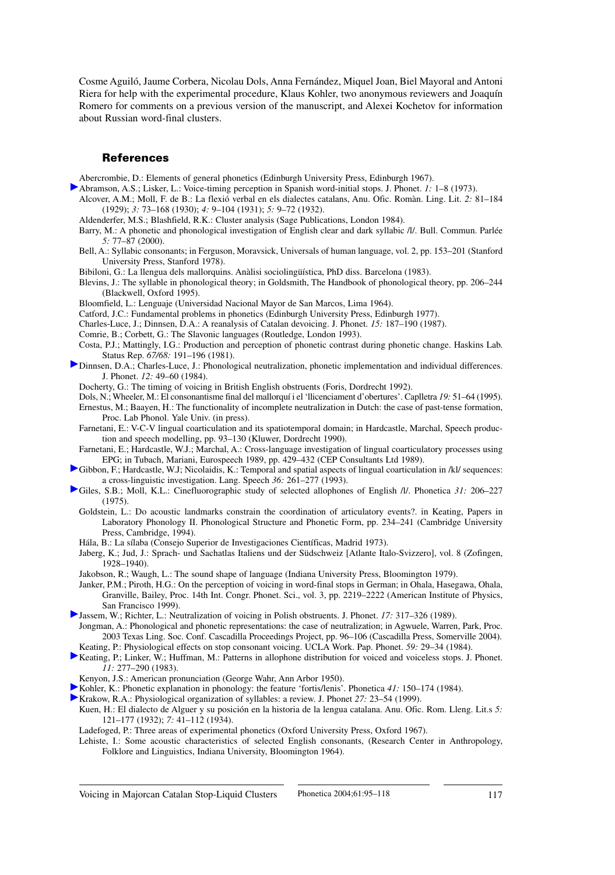Cosme Aguiló, Jaume Corbera, Nicolau Dols, Anna Fernández, Miquel Joan, Biel Mayoral and Antoni Riera for help with the experimental procedure, Klaus Kohler, two anonymous reviewers and Joaquín Romero for comments on a previous version of the manuscript, and Alexei Kochetov for information about Russian word-final clusters.

#### **References**

Abercrombie, D.: Elements of general phonetics (Edinburgh University Press, Edinburgh 1967).

- Abramson, A.S.; Lisker, L.: Voice-timing perception in Spanish word-initial stops. J. Phonet. *1:* 1–8 (1973).
	- Alcover, A.M.; Moll, F. de B.: La flexió verbal en els dialectes catalans, Anu. Ofic. Romàn. Ling. Lit. *2:* 81–184 (1929); *3:* 73–168 (1930); *4:* 9–104 (1931); *5:* 9–72 (1932).
	- Aldenderfer, M.S.; Blashfield, R.K.: Cluster analysis (Sage Publications, London 1984).
	- Barry, M.: A phonetic and phonological investigation of English clear and dark syllabic /l/. Bull. Commun. Parlée *5:* 77–87 (2000).
	- Bell, A.: Syllabic consonants; in Ferguson, Moravsick, Universals of human language, vol. 2, pp. 153–201 (Stanford University Press, Stanford 1978).
	- Bibiloni, G.: La llengua dels mallorquins. Anàlisi sociolingüística, PhD diss. Barcelona (1983).
	- Blevins, J.: The syllable in phonological theory; in Goldsmith, The Handbook of phonological theory, pp. 206–244 (Blackwell, Oxford 1995).
	- Bloomfield, L.: Lenguaje (Universidad Nacional Mayor de San Marcos, Lima 1964).
	- Catford, J.C.: Fundamental problems in phonetics (Edinburgh University Press, Edinburgh 1977).
	- Charles-Luce, J.; Dinnsen, D.A.: A reanalysis of Catalan devoicing. J. Phonet. *15:* 187–190 (1987).
	- Comrie, B.; Corbett, G.: The Slavonic languages (Routledge, London 1993).
	- Costa, P.J.; Mattingly, I.G.: Production and perception of phonetic contrast during phonetic change. Haskins Lab. Status Rep. *67/68:* 191–196 (1981).
- Dinnsen, D.A.; Charles-Luce, J.: Phonological neutralization, phonetic implementation and individual differences. J. Phonet. *12:* 49–60 (1984).
	- Docherty, G.: The timing of voicing in British English obstruents (Foris, Dordrecht 1992).
	- Dols, N.; Wheeler, M.: El consonantisme final del mallorquí i el 'llicenciament d'obertures'. Caplletra *19:* 51–64 (1995).
	- Ernestus, M.; Baayen, H.: The functionality of incomplete neutralization in Dutch: the case of past-tense formation, Proc. Lab Phonol. Yale Univ. (in press).
	- Farnetani, E.: V-C-V lingual coarticulation and its spatiotemporal domain; in Hardcastle, Marchal, Speech production and speech modelling, pp. 93–130 (Kluwer, Dordrecht 1990).
- Farnetani, E.; Hardcastle, W.J.; Marchal, A.: Cross-language investigation of lingual coarticulatory processes using EPG; in Tubach, Mariani, Eurospeech 1989, pp. 429–432 (CEP Consultants Ltd 1989).
- Gibbon, F.; Hardcastle, W.J; Nicolaidis, K.: Temporal and spatial aspects of lingual coarticulation in /kl/ sequences: a cross-linguistic investigation. Lang. Speech *36:* 261–277 (1993).
- Giles, S.B.; Moll, K.L.: Cinefluorographic study of selected allophones of English /l/. Phonetica *31:* 206–227 (1975).
	- Goldstein, L.: Do acoustic landmarks constrain the coordination of articulatory events?. in Keating, Papers in Laboratory Phonology II. Phonological Structure and Phonetic Form, pp. 234–241 (Cambridge University Press, Cambridge, 1994).
	- Hála, B.: La sílaba (Consejo Superior de Investigaciones Científicas, Madrid 1973).
	- Jaberg, K.; Jud, J.: Sprach- und Sachatlas Italiens und der Südschweiz [Atlante Italo-Svizzero], vol. 8 (Zofingen, 1928–1940).
	- Jakobson, R.; Waugh, L.: The sound shape of language (Indiana University Press, Bloomington 1979).
	- Janker, P.M.; Piroth, H.G.: On the perception of voicing in word-final stops in German; in Ohala, Hasegawa, Ohala, Granville, Bailey, Proc. 14th Int. Congr. Phonet. Sci., vol. 3, pp. 2219–2222 (American Institute of Physics, San Francisco 1999).

Jassem, W.; Richter, L.: Neutralization of voicing in Polish obstruents. J. Phonet. *17:* 317–326 (1989).

Jongman, A.: Phonological and phonetic representations: the case of neutralization; in Agwuele, Warren, Park, Proc. 2003 Texas Ling. Soc. Conf. Cascadilla Proceedings Project, pp. 96–106 (Cascadilla Press, Somerville 2004). Keating, P.: Physiological effects on stop consonant voicing. UCLA Work. Pap. Phonet. *59:* 29–34 (1984).

- Keating, P.; Linker, W.; Huffman, M.: Patterns in allophone distribution for voiced and voiceless stops. J. Phonet. *11:* 277–290 (1983).
- Kenyon, J.S.: American pronunciation (George Wahr, Ann Arbor 1950).
- Kohler, K.: Phonetic explanation in phonology: the feature 'fortis/lenis'. Phonetica 41: 150-174 (1984).
- Krakow, R.A.: Physiological organization of syllables: a review. J. Phonet *27:* 23–54 (1999).
- Kuen, H.: El dialecto de Alguer y su posición en la historia de la lengua catalana. Anu. Ofic. Rom. Lleng. Lit.s *5:* 121–177 (1932); *7:* 41–112 (1934).
- Ladefoged, P.: Three areas of experimental phonetics (Oxford University Press, Oxford 1967).
- Lehiste, I.: Some acoustic characteristics of selected English consonants, (Research Center in Anthropology, Folklore and Linguistics, Indiana University, Bloomington 1964).